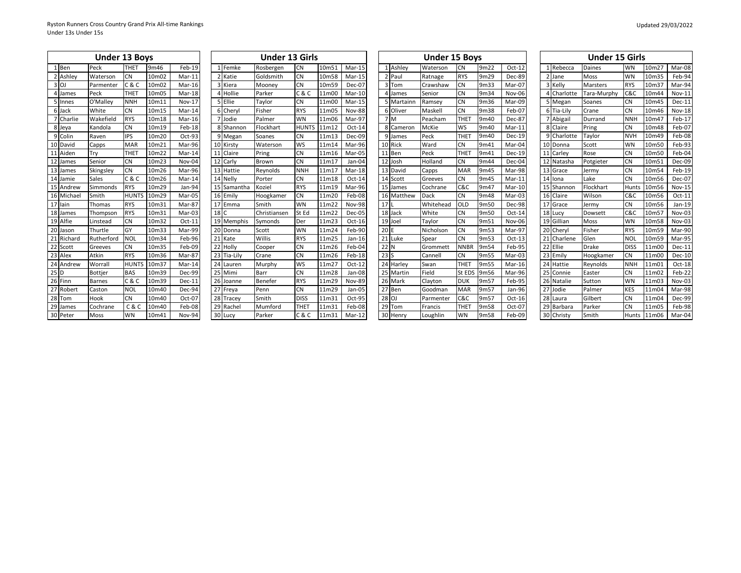|               | <b>Under 13 Boys</b> |              |                    |          |             | <b>Under 13 Girls</b> |              |       |               |            | <b>Under 15 Boys</b> |                  |      |               |             | <b>Under 15 Girls</b> |             |                   |               |
|---------------|----------------------|--------------|--------------------|----------|-------------|-----------------------|--------------|-------|---------------|------------|----------------------|------------------|------|---------------|-------------|-----------------------|-------------|-------------------|---------------|
| 1 Ben         | Peck                 | <b>THET</b>  | 9m46               | Feb-19   | 1 Femke     | Rosbergen             | <b>CN</b>    | 10m51 | Mar-15        | Ashley     | Waterson             | <b>CN</b>        | 9m22 | Oct-12        | Rebecca     | Daines                | <b>WN</b>   | 10m27             | Mar-08        |
| 2 Ashley      | Waterson             | <b>CN</b>    | 10m02              | $Mar-11$ | 2 Katie     | Goldsmith             | CN           | 10m58 | Mar-15        | 2 Paul     | Ratnage              | <b>RYS</b>       | 9m29 | Dec-89        | 2 Jane      | Moss                  | <b>WN</b>   | 10m35             | Feb-94        |
| $3$ OJ        | Parmenter            | C & C        | 10 <sub>m</sub> 02 | Mar-16   | 3 Kiera     | Mooney                | CN           | 10m59 | Dec-07        | 3 Tom      | Crawshaw             | <b>CN</b>        | 9m33 | Mar-07        | 3 Kelly     | <b>Marsters</b>       | <b>RYS</b>  | 10m37             | Mar-94        |
| 4 James       | Peck                 | <b>THET</b>  | 10m05              | Mar-18   | 4 Hollie    | Parker                | C & C        | 11m00 | Mar-10        | 4 James    | Senior               | <b>CN</b>        | 9m34 | <b>Nov-06</b> | 4 Charlotte | Tara-Murphy           | C&C         | 10 <sub>m44</sub> | $Nov-11$      |
| 5 Innes       | O'Malley             | <b>NNH</b>   | 10m11              | Nov-17   | 5 Ellie     | Taylor                | CN           | 11m00 | Mar-15        | 5 Martainn | Ramsey               | <b>CN</b>        | 9m36 | Mar-09        | Megan       | Soanes                | <b>CN</b>   | 10m45             | Dec-11        |
| 6 Jack        | White                | <b>CN</b>    | 10m15              | Mar-14   | 6 Cheryl    | Fisher                | <b>RYS</b>   | 11m05 | <b>Nov-88</b> | 6 Oliver   | Maskell              | CN               | 9m38 | Feb-07        | 6 Tia-Lily  | Crane                 | <b>CN</b>   | 10m46             | <b>Nov-18</b> |
| 7 Charlie     | Wakefield            | <b>RYS</b>   | 10m18              | Mar-16   | 7 Jodie     | Palmer                | WN           | 11m06 | Mar-97        | 7 M        | Peacham              | <b>THET</b>      | 9m40 | Dec-87        | 7 Abigail   | Durrand               | <b>NNH</b>  | 10m47             | Feb-17        |
| 8 Jeya        | Kandola              | <b>CN</b>    | 10m19              | Feb-18   | 8 Shannon   | Flockhart             | <b>HUNTS</b> | 11m12 | $Oct-14$      | 8 Cameron  | McKie                | <b>WS</b>        | 9m40 | $Mar-11$      | Claire      | Pring                 | <b>CN</b>   | 10m48             | Feb-07        |
| 9 Colin       | Raven                | <b>IPS</b>   | 10m20              | Oct-93   | 9 Megan     | Soanes                | CN           | 11m13 | Dec-09        | 9 James    | Peck                 | THE <sub>1</sub> | 9m40 | <b>Dec-19</b> | Charlotte   | Taylor                | <b>NVH</b>  | 10m49             | Feb-08        |
| 10 David      | Capps                | <b>MAR</b>   | 10m21              | Mar-96   | 10 Kirsty   | Waterson              | <b>WS</b>    | 11m14 | Mar-96        | 10 Rick    | Ward                 | <b>CN</b>        | 9m41 | Mar-04        | 10 Donna    | Scott                 | <b>WN</b>   | 10m50             | Feb-93        |
| 11 Aiden      | Try                  | <b>THET</b>  | 10m22              | Mar-14   | 11 Claire   | Pring                 | CN           | 11m16 | Mar-05        | 11 Ben     | Peck                 | THE <sub>1</sub> | 9m41 | <b>Dec-19</b> | Carley      | Rose                  | <b>CN</b>   | 10m50             | Feb-04        |
| 12 James      | Senior               | <b>CN</b>    | 10m23              | Nov-04   | 12 Carly    | Brown                 | CN           | 11m17 | Jan-04        | 12 Josh    | Holland              | <b>CN</b>        | 9m44 | Dec-04        | 12 Natasha  | Potgieter             | <b>CN</b>   | 10m51             | Dec-09        |
| 13 James      | Skingsley            | <b>CN</b>    | 10m26              | Mar-96   | 13 Hattie   | Reynolds              | <b>NNH</b>   | 11m17 | Mar-18        | 13 David   | Capps                | <b>MAR</b>       | 9m45 | Mar-98        | 13 Grace    | Jermy                 | <b>CN</b>   | 10m54             | Feb-19        |
| 14 Jamie      | Sales                | C & C        | 10m26              | Mar-14   | 14 Nelly    | Porter                | <b>CN</b>    | 11m18 | Oct-14        | 14 Scott   | Greeves              | <b>CN</b>        | 9m45 | Mar-11        | 14 Iona     | Lake                  | CN          | 10m56             | Dec-07        |
| 15 Andrew     | Simmonds             | <b>RYS</b>   | 10m29              | Jan-94   | 15 Samantha | Koziel                | <b>RYS</b>   | 11m19 | Mar-96        | 15 James   | Cochrane             | C&C              | 9m47 | $Mar-10$      | 15 Shannon  | Flockhart             | Hunts       | 10m56             | <b>Nov-15</b> |
| 16 Michae     | Smith                | <b>HUNTS</b> | 10m29              | Mar-05   | 16 Emily    | Hoogkamer             | CN           | 11m20 | Feb-08        | 16 Matthew | Dack                 | CN               | 9m48 | Mar-03        | 16 Claire   | Wilson                | C&C         | 10m56             | $Oct-11$      |
| 17 lain       | Thomas               | <b>RYS</b>   | 10m31              | Mar-87   | 17 Emma     | Smith                 | WN           | 11m22 | Nov-98        | 17         | Whitehead            | OLD              | 9m50 | Dec-98        | Grace       | Jermy                 | <b>CN</b>   | 10m56             | $Jan-19$      |
| 18 James      | Thompson             | <b>RYS</b>   | 10m31              | Mar-03   | 18 C        | Christiansen          | St Ed        | 11m22 | Dec-05        | 18 Jack    | White                | <b>CN</b>        | 9m50 | Oct-14        | 18 Lucy     | Dowsett               | C&C         | 10m57             | Nov-03        |
| 19 Alfie      | Linstead             | <b>CN</b>    | 10m32              | $Oct-11$ | 19 Memphis  | Symonds               | Der          | 11m23 | Oct-16        | 19 Joel    | Taylor               | CN               | 9m51 | Nov-06        | 19 Gillian  | Moss                  | <b>WN</b>   | 10m58             | Nov-03        |
| 20 Jason      | Thurtle              | GY           | 10m33              | Mar-99   | 20 Donna    | Scott                 | WN           | 11m24 | Feb-90        | 20 E       | Nicholson            | CN               | 9m53 | Mar-97        | 20 Cheryl   | Fisher                | <b>RYS</b>  | 10m59             | Mar-90        |
| 21<br>Richard | Rutherford           | <b>NOL</b>   | 10m34              | Feb-96   | 21 Kate     | Willis                | <b>RYS</b>   | 11m25 | $Jan-16$      | 21 Luke    | Spear                | <b>CN</b>        | 9m53 | $Oct-13$      | 21 Charlene | Glen                  | <b>NOL</b>  | 10m59             | Mar-95        |
| 22 Scott      | Greeves              | <b>CN</b>    | 10m35              | Feb-09   | 22 Holly    | Cooper                | CN           | 11m26 | Feb-04        | 22 N       | Grommett             | <b>NNBF</b>      | 9m54 | Feb-95        | 22 Ellie    | <b>Drake</b>          | <b>DISS</b> | 11m00             | $Dec-11$      |
| 23 Alex       | Atkin                | <b>RYS</b>   | 10m36              | Mar-87   | 23 Tia-Lily | Crane                 | CN           | 11m26 | Feb-18        | 23S        | Cannell              | <b>CN</b>        | 9m55 | Mar-03        | 23 Emily    | Hoogkamer             | CN          | 11m00             | Dec-10        |
| 24 Andrew     | Worrall              | <b>HUNTS</b> | 10m37              | Mar-14   | 24 Lauren   | Murphy                | WS           | 11m27 | Oct-12        | 24 Harley  | Swan                 | <b>THET</b>      | 9m55 | $Mar-16$      | 24 Hattie   | Reynolds              | <b>NNH</b>  | 11m01             | Oct-18        |
| $25$ D        | Bottjer              | <b>BAS</b>   | 10m39              | Dec-99   | 25 Mimi     | Barr                  | <b>CN</b>    | 11m28 | Jan-08        | 25 Martin  | Field                | St EDS           | 9m56 | Mar-96        | 25 Connie   | Easter                | <b>CN</b>   | 11m02             | Feb-22        |
| 26 Finn       | <b>Barnes</b>        | C & C        | 10m39              | Dec-11   | 26 Joanne   | Benefer               | <b>RYS</b>   | 11m29 | <b>Nov-89</b> | 26 Mark    | Clayton              | <b>DUK</b>       | 9m57 | Feb-95        | 26 Natalie  | Sutton                | <b>WN</b>   | 11m03             | Nov-03        |
| 27 Robert     | Caston               | <b>NOL</b>   | 10 <sub>m40</sub>  | Dec-94   | 27 Freya    | Penn                  | CN           | 11m29 | Jan-05        | 27 Ben     | Goodman              | <b>MAR</b>       | 9m57 | Jan-96        | 27<br>Jodie | Palmer                | <b>KES</b>  | 11m04             | Mar-98        |
| 28 Tom        | Hook                 | <b>CN</b>    | 10 <sub>m40</sub>  | Oct-07   | 28 Tracey   | Smith                 | <b>DISS</b>  | 11m31 | Oct-95        | 28 OJ      | Parmenter            | C&C              | 9m57 | Oct-16        | 28 Laura    | Gilbert               | <b>CN</b>   | 11m04             | Dec-99        |
| 29 James      | Cochrane             | C & C        | 10m40              | Feb-08   | 29 Rachel   | Mumford               | <b>THET</b>  | 11m31 | Feb-08        | 29 Tom     | Francis              | <b>THET</b>      | 9m58 | Oct-07        | 29 Barbara  | Parker                | <b>CN</b>   | 11m05             | Feb-98        |
| 30 Peter      | Moss                 | <b>WN</b>    | 10m41              | Nov-94   | 30 Lucy     | Parker                | C & C        | 11m31 | Mar-12        | 30 Henry   | Loughlir             | WN               | 9m58 | Feb-09        | 30 Christy  | Smith                 | Hunts       | 11m06             | Mar-04        |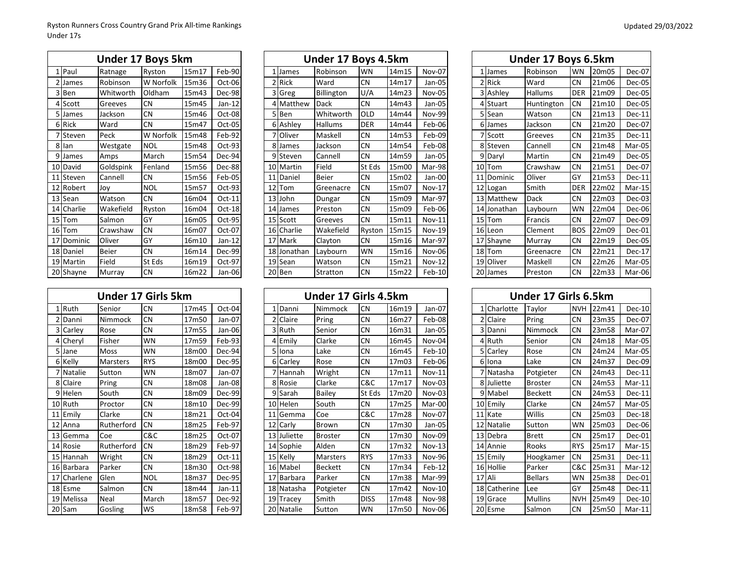|            | Under 17 Boys 5km |            |       |          |  |             | Under 17 Boys 4.5km |            |       |               |               | Under 17 Boys 6.5km |            |       |        |
|------------|-------------------|------------|-------|----------|--|-------------|---------------------|------------|-------|---------------|---------------|---------------------|------------|-------|--------|
| 1 Paul     | Ratnage           | Ryston     | 15m17 | Feb-90   |  | 1 James     | Robinson            | <b>WN</b>  | 14m15 | <b>Nov-07</b> | 1 James       | Robinson            | <b>WN</b>  | 20m05 | Dec-07 |
| 2 James    | Robinson          | W Norfolk  | 15m36 | Oct-06   |  | 2 Rick      | Ward                | <b>CN</b>  | 14m17 | Jan-05        | 2 Rick        | Ward                | <b>CN</b>  | 21m06 | Dec-05 |
| 3 Ben      | Whitworth         | Oldham     | 15m43 | Dec-98   |  | 3 Greg      | Billington          | U/A        | 14m23 | Nov-05        | 3 Ashley      | Hallums             | <b>DER</b> | 21m09 | Dec-05 |
| 4 Scott    | Greeves           | <b>CN</b>  | 15m45 | $Jan-12$ |  | 4 Matthew   | Dack                | <b>CN</b>  | 14m43 | Jan-05        | 4 Stuart      | Huntington          | <b>CN</b>  | 21m10 | Dec-05 |
| 5 James    | Jackson           | <b>CN</b>  | 15m46 | Oct-08   |  | 5 Ben       | Whitworth           | <b>OLD</b> | 14m44 | <b>Nov-99</b> | 5 Sean        | Watson              | <b>CN</b>  | 21m13 | Dec-11 |
| 6 Rick     | Ward              | <b>CN</b>  | 15m47 | Oct-05   |  | 6 Ashley    | <b>Hallums</b>      | <b>DER</b> | 14m44 | Feb-06        | 6 James       | Jackson             | <b>CN</b>  | 21m20 | Dec-07 |
| 7 Steven   | Peck              | W Norfolk  | 15m48 | Feb-92   |  | 7 Oliver    | Maskell             | <b>CN</b>  | 14m53 | Feb-09        | 7 Scott       | Greeves             | <b>CN</b>  | 21m35 | Dec-11 |
| 8 lan      | Westgate          | <b>NOL</b> | 15m48 | Oct-93   |  | 8 James     | Jackson             | <b>CN</b>  | 14m54 | Feb-08        | 8 Steven      | Cannell             | <b>CN</b>  | 21m48 | Mar-05 |
| 9 James    | Amps              | March      | 15m54 | Dec-94   |  | 9 Steven    | Cannell             | <b>CN</b>  | 14m59 | Jan-05        | 9 Daryl       | Martin              | <b>CN</b>  | 21m49 | Dec-05 |
| 10 David   | Goldspink         | Fenland    | 15m56 | Dec-88   |  | 10 Martin   | Field               | St Eds     | 15m00 | Mar-98        | 10 Tom        | Crawshaw            | <b>CN</b>  | 21m51 | Dec-07 |
| 11 Steven  | Cannell           | <b>CN</b>  | 15m56 | Feb-05   |  | 11 Daniel   | <b>Beier</b>        | <b>CN</b>  | 15m02 | Jan-00        | 11<br>Dominic | Oliver              | GY         | 21m53 | Dec-11 |
| 12 Robert  | Joy               | <b>NOL</b> | 15m57 | Oct-93   |  | 12 Tom      | Greenacre           | <b>CN</b>  | 15m07 | <b>Nov-17</b> | 12 Logan      | Smith               | <b>DER</b> | 22m02 | Mar-15 |
| 13 Sean    | Watson            | <b>CN</b>  | 16m04 | Oct-11   |  | 13 John     | Dungar              | <b>CN</b>  | 15m09 | Mar-97        | 13 Matthew    | Dack                | <b>CN</b>  | 22m03 | Dec-03 |
| 14 Charlie | Wakefield         | Ryston     | 16m04 | Oct-18   |  | 14 James    | Preston             | <b>CN</b>  | 15m09 | Feb-06        | 14 Jonathan   | Laybourn            | <b>WN</b>  | 22m04 | Dec-06 |
| 15 Tom     | Salmon            | GY         | 16m05 | Oct-95   |  | 15 Scott    | Greeves             | <b>CN</b>  | 15m11 | Nov-11        | 15 Tom        | Francis             | <b>CN</b>  | 22m07 | Dec-09 |
| 16 Tom     | Crawshaw          | <b>CN</b>  | 16m07 | Oct-07   |  | 16 Charlie  | Wakefield           | Ryston     | 15m15 | <b>Nov-19</b> | 16 Leon       | Clement             | <b>BOS</b> | 22m09 | Dec-01 |
| 17 Dominic | Oliver            | GY         | 16m10 | Jan-12   |  | 17 Mark     | Clayton             | <b>CN</b>  | 15m16 | Mar-97        | 17 Shayne     | Murray              | <b>CN</b>  | 22m19 | Dec-05 |
| 18 Daniel  | <b>Beier</b>      | <b>CN</b>  | 16m14 | Dec-99   |  | 18 Jonathan | Laybourn            | <b>WN</b>  | 15m16 | Nov-06        | 18 Tom        | Greenacre           | <b>CN</b>  | 22m21 | Dec-17 |
| 19 Martin  | Field             | St Eds     | 16m19 | Oct-97   |  | 19 Sean     | Watson              | <b>CN</b>  | 15m21 | $Nov-12$      | 19 Oliver     | Maskell             | <b>CN</b>  | 22m26 | Mar-05 |
| 20 Shayne  | Murray            | <b>CN</b>  | 16m22 | Jan-06   |  | 20 Ben      | Stratton            | <b>CN</b>  | 15m22 | $Feb-10$      | 20 James      | Preston             | <b>CN</b>  | 22m33 | Mar-06 |
|            |                   |            |       |          |  |             |                     |            |       |               |               |                     |            |       |        |

|             | Under 17 Girls 5km |            |       |          |  |             | Under 17 Girls 4.5km |             |       |               |              | Under 17 Girls 6.5km |            |       |               |
|-------------|--------------------|------------|-------|----------|--|-------------|----------------------|-------------|-------|---------------|--------------|----------------------|------------|-------|---------------|
| 1 Ruth      | Senior             | <b>CN</b>  | 17m45 | $Oct-04$ |  | 1 Danni     | Nimmock              | <b>CN</b>   | 16m19 | $Jan-07$      | . ICharlotte | Taylor               | <b>NVH</b> | 22m41 | Dec-10        |
| :IDanni     | Nimmock            | <b>CN</b>  | 17m50 | Jan-07   |  | 2 Claire    | Pring                | <b>CN</b>   | 16m27 | Feb-08        | 2 Claire     | Pring                | <b>CN</b>  | 23m35 | <b>Dec-07</b> |
| 3 Carley    | Rose               | <b>CN</b>  | 17m55 | Jan-06   |  | 3 Ruth      | Senior               | <b>CN</b>   | 16m31 | Jan-05        | 3 Danni      | Nimmock              | <b>CN</b>  | 23m58 | Mar-07        |
| 4 Cheryl    | Fisher             | <b>WN</b>  | 17m59 | Feb-93   |  | 4 Emily     | Clarke               | <b>CN</b>   | 16m45 | Nov-04        | 4 Ruth       | Senior               | <b>CN</b>  | 24m18 | Mar-05        |
| 5 Jane      | <b>Moss</b>        | <b>WN</b>  | 18m00 | Dec-94   |  | 5 Ilona     | Lake                 | <b>CN</b>   | 16m45 | $Feb-10$      | 5 Carley     | Rose                 | <b>CN</b>  | 24m24 | Mar-05        |
| 6 Kelly     | <b>Marsters</b>    | <b>RYS</b> | 18m00 | Dec-95   |  | 6 Carley    | Rose                 | <b>CN</b>   | 17m03 | Feb-06        | 6 Ilona      | Lake                 | <b>CN</b>  | 24m37 | Dec-09        |
| 7   Natalie | Sutton             | <b>WN</b>  | 18m07 | Jan-07   |  | 7 Hannah    | Wright               | <b>CN</b>   | 17m11 | $Nov-11$      | 7 Natasha    | Potgieter            | <b>CN</b>  | 24m43 | <b>Dec-11</b> |
| 8 Claire    | Pring              | <b>CN</b>  | 18m08 | Jan-08   |  | 8 Rosie     | Clarke               | C&C         | 17m17 | $Nov-03$      | 8 Juliette   | <b>Broster</b>       | <b>CN</b>  | 24m53 | Mar-11        |
| 9 Helen     | South              | <b>CN</b>  | 18m09 | $Dec-99$ |  | 9 Sarah     | Bailey               | St Eds      | 17m20 | $Nov-03$      | 9 Mabel      | <b>Beckett</b>       | <b>CN</b>  | 24m53 | <b>Dec-11</b> |
| 10 Ruth     | Proctor            | <b>CN</b>  | 18m10 | Dec-99   |  | 10 Helen    | South                | <b>CN</b>   | 17m25 | Mar-00        | 10 Emily     | Clarke               | <b>CN</b>  | 24m57 | Mar-05        |
| 11 Emily    | Clarke             | <b>CN</b>  | 18m21 | Oct-04   |  | 11 Gemma    | Coe                  | C&C         | 17m28 | <b>Nov-07</b> | 11 Kate      | Willis               | <b>CN</b>  | 25m03 | Dec-18        |
| 12 Anna     | Rutherford         | <b>CN</b>  | 18m25 | Feb-97   |  | 12 Carly    | Brown                | <b>CN</b>   | 17m30 | Jan-05        | 12 Natalie   | Sutton               | <b>WN</b>  | 25m03 | Dec-06        |
| 13 Gemma    | Coe                | C&C        | 18m25 | Oct-07   |  | 13 Juliette | <b>Broster</b>       | <b>CN</b>   | 17m30 | Nov-09        | 13 Debra     | <b>Brett</b>         | <b>CN</b>  | 25m17 | Dec-01        |
| 14 Rosie    | Rutherford         | <b>CN</b>  | 18m29 | Feb-97   |  | 14 Sophie   | Alden                | <b>CN</b>   | 17m32 | $Nov-13$      | 14 Annie     | Rooks                | <b>RYS</b> | 25m17 | $Mar-15$      |
| 15 Hannah   | Wright             | <b>CN</b>  | 18m29 | $Oct-11$ |  | 15 Kelly    | <b>Marsters</b>      | <b>RYS</b>  | 17m33 | <b>Nov-96</b> | 15 Emily     | Hoogkamer            | <b>CN</b>  | 25m31 | Dec-11        |
| 16 Barbara  | Parker             | <b>CN</b>  | 18m30 | Oct-98   |  | 16 Mabel    | <b>Beckett</b>       | <b>CN</b>   | 17m34 | $Feb-12$      | 16 Hollie    | Parker               | C&C        | 25m31 | Mar-12        |
| 17 Charlene | Glen               | <b>NOL</b> | 18m37 | Dec-95   |  | 17 Barbara  | Parker               | <b>CN</b>   | 17m38 | Mar-99        | 17 Ali       | <b>Bellars</b>       | <b>WN</b>  | 25m38 | Dec-01        |
| 18 Esme     | Salmon             | <b>CN</b>  | 18m44 | $Jan-11$ |  | 18 Natasha  | Potgieter            | <b>CN</b>   | 17m42 | $Nov-10$      | 18 Catherine | Lee                  | GY         | 25m48 | Dec-11        |
| 19 Melissa  | Neal               | March      | 18m57 | Dec-92   |  | 19 Tracey   | Smith                | <b>DISS</b> | 17m48 | <b>Nov-98</b> | 19 Grace     | <b>Mullins</b>       | <b>NVH</b> | 25m49 | Dec-10        |
| 20 Sam      | Gosling            | <b>WS</b>  | 18m58 | Feb-97   |  | 20 Natalie  | Sutton               | <b>WN</b>   | 17m50 | Nov-06        | 20 Esme      | Salmon               | <b>CN</b>  | 25m50 | $Mar-11$      |

|             | <b>Under 17 Boys 5km</b> |            |       |          |             | Under 17 Boys 4.5km |            |       |               |    |           | Under 17 Boys 6.5km |            |       |        |
|-------------|--------------------------|------------|-------|----------|-------------|---------------------|------------|-------|---------------|----|-----------|---------------------|------------|-------|--------|
| Paul        | Ratnage                  | Ryston     | 15m17 | Feb-90   | James       | Robinson            | <b>WN</b>  | 14m15 | <b>Nov-07</b> |    | James     | Robinson            | <b>WN</b>  | 20m05 | Dec-07 |
| James       | Robinson                 | W Norfolk  | 15m36 | Oct-06   | 2 Rick      | Ward                | <b>CN</b>  | 14m17 | Jan-05        |    | 2 Rick    | Ward                | <b>CN</b>  | 21m06 | Dec-05 |
| Ben         | Whitworth                | Oldham     | 15m43 | Dec-98   | 3 Greg      | Billington          | U/A        | 14m23 | Nov-05        |    | 3 Ashley  | <b>Hallums</b>      | <b>DER</b> | 21m09 | Dec-05 |
| Scott       | Greeves                  | <b>CN</b>  | 15m45 | $Jan-12$ | 4 Matthew   | <b>Dack</b>         | <b>CN</b>  | 14m43 | Jan-05        |    | 4 Stuart  | Huntington          | <b>CN</b>  | 21m10 | Dec-05 |
| James       | Jackson                  | <b>CN</b>  | 15m46 | Oct-08   | 5 Ben       | Whitworth           | <b>OLD</b> | 14m44 | <b>Nov-99</b> |    | Sean      | Watson              | <b>CN</b>  | 21m13 | Dec-11 |
| <b>Rick</b> | Ward                     | <b>CN</b>  | 15m47 | Oct-05   | 6 Ashley    | Hallums             | <b>DER</b> | 14m44 | Feb-06        |    | 6 James   | Jackson             | <b>CN</b>  | 21m20 | Dec-07 |
| Steven      | Peck                     | W Norfolk  | 15m48 | Feb-92   | 7 Oliver    | Maskell             | <b>CN</b>  | 14m53 | Feb-09        |    | ' Scott   | <b>Greeves</b>      | <b>CN</b>  | 21m35 | Dec-11 |
| lan         | Westgate                 | <b>NOL</b> | 15m48 | $Oct-93$ | James       | Jackson             | <b>CN</b>  | 14m54 | Feb-08        |    | Steven    | Cannell             | <b>CN</b>  | 21m48 | Mar-05 |
| James       | Amps                     | March      | 15m54 | Dec-94   | 9 Steven    | Cannell             | <b>CN</b>  | 14m59 | Jan-05        |    | 9 Daryl   | Martin              | <b>CN</b>  | 21m49 | Dec-05 |
| David       | Goldspink                | Fenland    | 15m56 | Dec-88   | 10 Martin   | Field               | St Eds     | 15m00 | Mar-98        | 10 | Tom       | Crawshaw            | <b>CN</b>  | 21m51 | Dec-07 |
| Steven      | Cannell                  | <b>CN</b>  | 15m56 | Feb-05   | 11 Daniel   | <b>Beier</b>        | <b>CN</b>  | 15m02 | Jan-00        | 11 | Dominic   | Oliver              | GY         | 21m53 | Dec-11 |
| Robert      | Joy                      | <b>NOL</b> | 15m57 | Oct-93   | 12 Tom      | Greenacre           | <b>CN</b>  | 15m07 | <b>Nov-17</b> |    | 12 Logan  | Smith               | <b>DER</b> | 22m02 | Mar-15 |
| Sean        | Watson                   | <b>CN</b>  | 16m04 | $Oct-11$ | 13 John     | Dungar              | <b>CN</b>  | 15m09 | Mar-97        | 13 | Matthew   | Dack                | <b>CN</b>  | 22m03 | Dec-03 |
| Charlie     | Wakefield                | Ryston     | 16m04 | $Oct-18$ | 14 James    | Preston             | <b>CN</b>  | 15m09 | Feb-06        | 14 | Jonathan  | Laybourn            | <b>WN</b>  | 22m04 | Dec-06 |
| Tom         | Salmon                   | GY         | 16m05 | Oct-95   | 15 Scott    | Greeves             | <b>CN</b>  | 15m11 | $Nov-11$      | 15 | Tom       | Francis             | <b>CN</b>  | 22m07 | Dec-09 |
| Tom         | Crawshaw                 | <b>CN</b>  | 16m07 | Oct-07   | 16 Charlie  | Wakefield           | Ryston     | 15m15 | $Nov-19$      |    | 16 Leon   | Clement             | <b>BOS</b> | 22m09 | Dec-01 |
| Dominic     | Oliver                   | GY         | 16m10 | $Jan-12$ | 17 Mark     | Clavton             | <b>CN</b>  | 15m16 | Mar-97        |    | 17 Shayne | Murray              | <b>CN</b>  | 22m19 | Dec-05 |
| Daniel      | <b>Beier</b>             | <b>CN</b>  | 16m14 | Dec-99   | 18 Jonathan | Laybourn            | <b>WN</b>  | 15m16 | Nov-06        | 18 | Tom       | <b>IGreenacre</b>   | <b>CN</b>  | 22m21 | Dec-17 |
| Martin      | Field                    | St Eds     | 16m19 | Oct-97   | 19 Sean     | Watson              | <b>CN</b>  | 15m21 | <b>Nov-12</b> |    | 19 Oliver | Maskell             | <b>CN</b>  | 22m26 | Mar-05 |
| J Shayne    | Murray                   | <b>CN</b>  | 16m22 | Jan-06   | 20 Ben      | Stratton            | <b>CN</b>  | 15m22 | Feb-10        | 20 | James     | Preston             | <b>CN</b>  | 22m33 | Mar-06 |
|             |                          |            |       |          |             |                     |            |       |               |    |           |                     |            |       |        |

|                | Under 17 Girls 5km |            |       |          |             | Under 17 Girls 4.5km |             |       |               |        |             | Under 17 Girls 6.5km |            |       |          |
|----------------|--------------------|------------|-------|----------|-------------|----------------------|-------------|-------|---------------|--------|-------------|----------------------|------------|-------|----------|
| Ruth           | Senior             | <b>CN</b>  | 17m45 | Oct-04   | . Danni     | Nimmock              | <b>CN</b>   | 16m19 | Jan-07        |        | 1 Charlotte | Taylor               | <b>NVH</b> | 22m41 | Dec-10   |
| Danni          | Nimmock            | <b>CN</b>  | 17m50 | Jan-07   | 2 Claire    | Pring                | <b>CN</b>   | 16m27 | Feb-08        |        | Claire      | Pring                | <b>CN</b>  | 23m35 | Dec-07   |
| Carley         | Rose               | <b>CN</b>  | 17m55 | Jan-06   | 3 Ruth      | Senior               | <b>CN</b>   | 16m31 | Jan-05        |        | Danni       | Nimmock              | <b>CN</b>  | 23m58 | Mar-07   |
| Cheryl         | Fisher             | <b>WN</b>  | 17m59 | Feb-93   | - Emily     | Clarke               | <b>CN</b>   | 16m45 | Nov-04        |        | Ruth        | Senior               | <b>CN</b>  | 24m18 | Mar-05   |
| Jane           | Moss               | <b>WN</b>  | 18m00 | Dec-94   | 5 Iona      | Lake                 | <b>CN</b>   | 16m45 | $Feb-10$      |        | 5 Carley    | Rose                 | <b>CN</b>  | 24m24 | Mar-05   |
| Kelly          | Marsters           | <b>RYS</b> | 18m00 | Dec-95   | 6 Carley    | Rose                 | <b>CN</b>   | 17m03 | Feb-06        |        | 6 Iona      | Lake                 | <b>CN</b>  | 24m37 | Dec-09   |
| Natalie        | Sutton             | <b>WN</b>  | 18m07 | Jan-07   | 7 Hannah    | Wright               | <b>CN</b>   | 17m11 | $Nov-11$      |        | 7 Natasha   | Potgieter            | <b>CN</b>  | 24m43 | Dec-11   |
| Claire         | Pring              | <b>CN</b>  | 18m08 | Jan-08   | 8 Rosie     | Clarke               | C&C         | 17m17 | $Nov-03$      |        | 8 Juliette  | Broster              | <b>CN</b>  | 24m53 | Mar-11   |
| Helen          | South              | <b>CN</b>  | 18m09 | Dec-99   | Q<br>Sarah  | <b>Bailey</b>        | St Eds      | 17m20 | $Nov-03$      |        | 9 Mabel     | <b>Beckett</b>       | <b>CN</b>  | 24m53 | $Dec-11$ |
| Ruth           | Proctor            | <b>CN</b>  | 18m10 | Dec-99   | 10 Helen    | South                | <b>CN</b>   | 17m25 | Mar-00        |        | 10 Emily    | Clarke               | <b>CN</b>  | 24m57 | Mar-05   |
| Emily          | Clarke             | <b>CN</b>  | 18m21 | Oct-04   | 11 Gemma    | Coe                  | C&C         | 17m28 | Nov-07        |        | 11 Kate     | <b>Willis</b>        | <b>CN</b>  | 25m03 | Dec-18   |
| Anna           | Rutherford         | <b>CN</b>  | 18m25 | Feb-97   | 12 Carly    | Brown                | <b>CN</b>   | 17m30 | Jan-05        | 12     | Natalie     | Sutton               | WN         | 25m03 | Dec-06   |
| Gemma          | Coe                | C&C        | 18m25 | $Oct-07$ | 13 Juliette | Broster              | <b>CN</b>   | 17m30 | Nov-09        | 13     | Debra       | Brett                | <b>CN</b>  | 25m17 | Dec-01   |
| Rosie          | Rutherford         | <b>CN</b>  | 18m29 | Feb-97   | 14 Sophie   | Alden                | <b>CN</b>   | 17m32 | $Nov-13$      | 14     | Annie       | Rooks                | <b>RYS</b> | 25m17 | $Mar-15$ |
| Hannah         | Wright             | <b>CN</b>  | 18m29 | $Oct-11$ | 15 Kelly    | Marsters             | <b>RYS</b>  | 17m33 | Nov-96        | 15     | Emily       | Hoogkamer            | <b>CN</b>  | 25m31 | $Dec-11$ |
| <b>Barbara</b> | Parker             | <b>CN</b>  | 18m30 | Oct-98   | 16 Mabel    | Beckett              | <b>CN</b>   | 17m34 | Feb-12        |        | 16 Hollie   | Parker               | C&C        | 25m31 | Mar-12   |
| Charlene       | Glen               | <b>NOL</b> | 18m37 | Dec-95   | 17 Barbara  | Parker               | <b>CN</b>   | 17m38 | Mar-99        | 17 Ali |             | <b>Bellars</b>       | WN         | 25m38 | Dec-01   |
| Esme           | Salmon             | <b>CN</b>  | 18m44 | $Jan-11$ | 18 Natasha  | Potgieter            | <b>CN</b>   | 17m42 | Nov-10        | 18     | Catherine   | Lee                  | GY         | 25m48 | $Dec-11$ |
| Melissa        | Neal               | March      | 18m57 | Dec-92   | 19 Tracey   | Smith                | <b>DISS</b> | 17m48 | <b>Nov-98</b> |        | 19 Grace    | <b>Mullins</b>       | <b>NVH</b> | 25m49 | $Dec-10$ |
| ) Sam          | Gosling            | <b>WS</b>  | 18m58 | Feb-97   | 20 Natalie  | Sutton               | <b>WN</b>   | 17m50 | Nov-06        |        | 20 Esme     | Salmon               | <b>CN</b>  | 25m50 | Mar-11   |

|                 |             | Under 17 Boys 6.5km |            |       |               |
|-----------------|-------------|---------------------|------------|-------|---------------|
| $\mathbf{1}$    | James       | Robinson            | <b>WN</b>  | 20m05 | Dec-07        |
| $\overline{2}$  | Rick        | Ward                | <b>CN</b>  | 21m06 | Dec-05        |
| 3               | Ashley      | <b>Hallums</b>      | <b>DER</b> | 21m09 | <b>Dec-05</b> |
| $\overline{4}$  | Stuart      | Huntington          | <b>CN</b>  | 21m10 | <b>Dec-05</b> |
|                 | 5 Sean      | Watson              | <b>CN</b>  | 21m13 | Dec-11        |
| 6               | James       | Jackson             | <b>CN</b>  | 21m20 | Dec-07        |
| 7               | Scott       | Greeves             | <b>CN</b>  | 21m35 | Dec-11        |
|                 | 8 Steven    | Cannell             | <b>CN</b>  | 21m48 | Mar-05        |
| 9               | Daryl       | Martin              | <b>CN</b>  | 21m49 | Dec-05        |
| 10              | Tom         | Crawshaw            | <b>CN</b>  | 21m51 | Dec-07        |
| 11              | Dominic     | Oliver              | GY         | 21m53 | Dec-11        |
| 12              | Logan       | Smith               | <b>DER</b> | 22m02 | Mar-15        |
| 13              | Matthew     | Dack                | <b>CN</b>  | 22m03 | Dec-03        |
|                 | 14 Jonathan | Laybourn            | <b>WN</b>  | 22m04 | Dec-06        |
| 15              | Tom         | Francis             | <b>CN</b>  | 22m07 | Dec-09        |
|                 | 16 Leon     | Clement             | <b>BOS</b> | 22m09 | Dec-01        |
| 17              | Shayne      | Murray              | <b>CN</b>  | 22m19 | Dec-05        |
| 18              | Tom         | Greenacre           | <b>CN</b>  | 22m21 | Dec-17        |
| 19 <sup>1</sup> | Oliver      | Maskell             | <b>CN</b>  | 22m26 | Mar-05        |
|                 | 20 James    | Preston             | <b>CN</b>  | 22m33 | Mar-06        |

|                 |            | Under 17 Girls 6.5km |            |       |          |
|-----------------|------------|----------------------|------------|-------|----------|
| 1               | Charlotte  | Taylor               | <b>NVH</b> | 22m41 | Dec-10   |
|                 | 2 Claire   | Pring                | <b>CN</b>  | 23m35 | Dec-07   |
| 3               | Danni      | Nimmock              | <b>CN</b>  | 23m58 | Mar-07   |
| 4               | Ruth       | Senior               | <b>CN</b>  | 24m18 | Mar-05   |
| 5               | Carley     | Rose                 | <b>CN</b>  | 24m24 | Mar-05   |
| 6               | Iona       | Lake                 | <b>CN</b>  | 24m37 | Dec-09   |
| 7               | Natasha    | Potgieter            | <b>CN</b>  | 24m43 | Dec-11   |
|                 | 8 Juliette | <b>Broster</b>       | <b>CN</b>  | 24m53 | $Mar-11$ |
| 9               | Mabel      | <b>Beckett</b>       | <b>CN</b>  | 24m53 | Dec-11   |
| 10              | Emily      | Clarke               | <b>CN</b>  | 24m57 | Mar-05   |
| 11              | Kate       | Willis               | <b>CN</b>  | 25m03 | Dec-18   |
|                 | 12 Natalie | Sutton               | <b>WN</b>  | 25m03 | Dec-06   |
|                 | 13 Debra   | <b>Brett</b>         | <b>CN</b>  | 25m17 | Dec-01   |
|                 | 14 Annie   | Rooks                | <b>RYS</b> | 25m17 | $Mar-15$ |
| 15              | Emily      | Hoogkamer            | <b>CN</b>  | 25m31 | Dec-11   |
|                 | 16 Hollie  | Parker               | C&C        | 25m31 | Mar-12   |
|                 | 17 Ali     | <b>Bellars</b>       | <b>WN</b>  | 25m38 | Dec-01   |
| 18 <sup>1</sup> | Catherine  | Lee                  | GY         | 25m48 | Dec-11   |
| 19 <sup>1</sup> | Grace      | <b>Mullins</b>       | <b>NVH</b> | 25m49 | Dec-10   |
|                 | 20 Esme    | Salmon               | <b>CN</b>  | 25m50 | $Mar-11$ |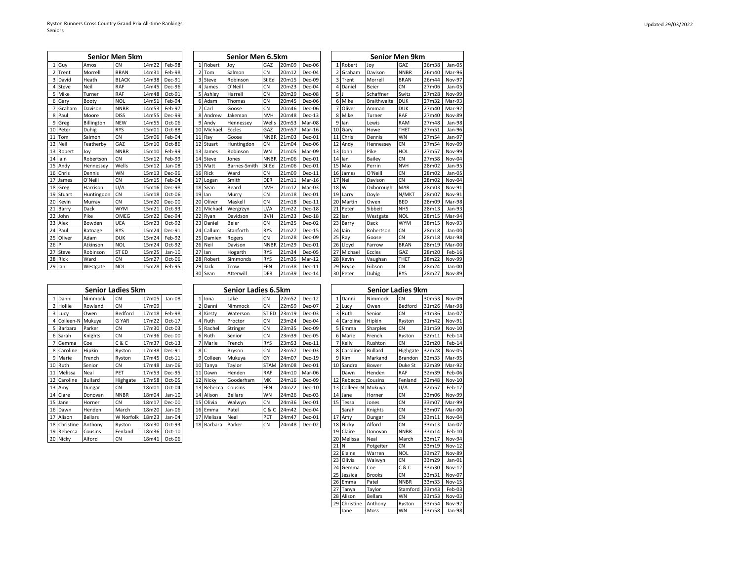|                         |           |            | Senior Men 5km   |       |        |
|-------------------------|-----------|------------|------------------|-------|--------|
| $\mathbf{1}$            | Guy       | Amos       | CN               | 14m22 | Feb-98 |
| $\overline{\mathbf{z}}$ | Trent     | Morrell    | <b>BRAN</b>      | 14m31 | Feb-98 |
| $\overline{3}$          | David     | Heath      | <b>BLACK</b>     | 14m38 | Dec-91 |
| 4                       | Steve     | Neil       | <b>RAF</b>       | 14m45 | Dec-96 |
| 5                       | Mike      | Turner     | RAF              | 14m48 | Oct-91 |
| 6                       | Gary      | Booty      | <b>NOL</b>       | 14m51 | Feb-94 |
| 7                       | Graham    | Davison    | <b>NNBR</b>      | 14m53 | Feb-97 |
|                         | 8 Paul    | Moore      | <b>DISS</b>      | 14m55 | Dec-99 |
|                         | 9 Greg    | Billington | <b>NEW</b>       | 14m55 | Oct-06 |
|                         | 10 Peter  | Duhig      | <b>RYS</b>       | 15m01 | Oct-88 |
| 11                      | Tom       | Salmon     | CN.              | 15m06 | Feb-04 |
|                         | 12 Neil   | Featherby  | GA <sub>7</sub>  | 15m10 | Oct-86 |
| 13                      | Robert    | Joy        | <b>NNBR</b>      | 15m10 | Feb-99 |
|                         | 14 lain   | Robertson  | <b>CN</b>        | 15m12 | Feb-99 |
|                         | 15 Andy   | Hennessey  | Wells            | 15m12 | Jan-08 |
|                         | 16 Chris  | Dennis     | <b>WN</b>        | 15m13 | Dec-96 |
| 17                      | James     | O'Neill    | <b>CN</b>        | 15m15 | Feb-04 |
|                         | 18 Greg   | Harrison   | U/A              | 15m16 | Dec-98 |
|                         | 19 Stuart | Huntingdon | CN               | 15m18 | Oct-06 |
|                         | 20 Kevin  | Murray     | <b>CN</b>        | 15m20 | Dec-00 |
| 21                      | Barry     | Dack       | <b>WYM</b>       | 15m21 | Oct-93 |
|                         | 22 John   | Pike       | OMEG             | 15m22 | Dec-94 |
|                         | 23 Alex   | Bowden     | UEA              | 15m23 | Oct-92 |
|                         | 24 Paul   | Ratnage    | <b>RYS</b>       | 15m24 | Dec-91 |
| 25                      | Oliver    | Adam       | <b>DUK</b>       | 15m24 | Feb-92 |
| 26 P                    |           | Atkinson   | <b>NOL</b>       | 15m24 | Oct-92 |
| 27                      | Steve     | Robinson   | ST <sub>ED</sub> | 15m25 | Jan-10 |
|                         | 28 Rick   | Ward       | <b>CN</b>        | 15m27 | Oct-06 |
|                         | 29 lan    | Westgate   | <b>NOL</b>       | 15m28 | Feb-95 |

|                         |             |            | Senior Men 5km |       |        |    |           | Senior Men 6.5km |             |       |          |                |          | <b>Senior Men 9km</b> |             |       |               |
|-------------------------|-------------|------------|----------------|-------|--------|----|-----------|------------------|-------------|-------|----------|----------------|----------|-----------------------|-------------|-------|---------------|
|                         | Guv         | Amos       | CN             | 14m22 | Feb-98 |    | 1 Robert  | Joy              | GAZ         | 20m09 | Dec-06   | 1 <sup>1</sup> | Robert   | Jov                   | GAZ         | 26m38 | Jan-05        |
| $\overline{\mathbf{z}}$ | Trent       | Morrell    | <b>BRAN</b>    | 14m31 | Feb-98 |    | 2 Tom     | Salmon           | CN          | 20m12 | Dec-04   |                | 2 Graham | Davison               | <b>NNBR</b> | 26m40 | Mar-96        |
| 3                       | David       | Heath      | <b>BLACK</b>   | 14m38 | Dec-91 |    | 3 Steve   | Robinson         | St Ed       | 20m15 | Dec-09   |                | 3 Trent  | Morrell               | <b>BRAN</b> | 26m44 | <b>Nov-97</b> |
|                         | Steve       | Neil       | RAF            | 14m45 | Dec-96 |    | James     | O'Neill          | CN          | 20m23 | Dec-04   |                | Daniel   | Beier                 | <b>CN</b>   | 27m06 | Jan-05        |
| 5                       | <b>Mike</b> | Turner     | RAF            | 14m48 | Oct-91 |    | 5 Ashley  | Harrell          | CN          | 20m29 | Dec-08   | 5 <sub>1</sub> |          | Schaffner             | Switz       | 27m28 | Nov-99        |
| 6                       | Garv        | Booty      | <b>NOL</b>     | 14m51 | Feb-94 | 6  | Adam      | Thomas           | CN          | 20m45 | Dec-06   |                | 6 Mike   | <b>Braithwaite</b>    | <b>DUK</b>  | 27m32 | Mar-93        |
|                         | Graham      | Davison    | <b>NNBR</b>    | 14m53 | Feb-97 |    | Carl      | Goose            | CN          | 20m46 | Dec-06   |                | Oliver   | Amman                 | <b>DUK</b>  | 27m40 | Mar-92        |
| 8                       | Paul        | Moore      | <b>DISS</b>    | 14m55 | Dec-99 | 8  | Andrew    | Jakeman          | <b>NVH</b>  | 20m48 | $Dec-13$ | 8              | Mike     | Turner                | <b>RAF</b>  | 27m40 | <b>Nov-89</b> |
| 9                       | Greg        | Billington | <b>NEW</b>     | 14m55 | Oct-06 | ٩  | Andv      | Hennessey        | Wells       | 20m53 | Mar-08   | q              | lan      | Lewis                 | RAM         | 27m48 | Jan-98        |
| 10                      | Peter       | Duhig      | <b>RYS</b>     | 15m01 | Oct-88 | 10 | Michael   | Eccles           | GAZ         | 20m57 | Mar-16   | 10             | Garv     | Howe                  | THET        | 27m51 | Jan-96        |
| 11                      | Tom         | Salmon     | <b>CN</b>      | 15m06 | Feb-04 | 11 | Ray       | Goose            | <b>NNBR</b> | 21m03 | Dec-01   | 11             | Chris    | Dennis                | WN          | 27m54 | Jan-97        |
| 12                      | Neil        | Featherby  | GAZ            | 15m10 | Oct-86 | 12 | Stuart    | Huntingdon       | CN          | 21m04 | Dec-06   | 12             | Andv     | Hennessey             | <b>CN</b>   | 27m54 | Nov-09        |
|                         | 13 Robert   | Joy        | <b>NNBR</b>    | 15m10 | Feb-99 |    | 13 James  | Robinson         | WN          | 21m05 | Mar-09   |                | 13 John  | Pike                  | HOL         | 27m57 | <b>Nov-99</b> |
| 14                      | lain        | Robertson  | <b>CN</b>      | 15m12 | Feb-99 | 14 | Steve     | Jones            | <b>NNBR</b> | 21m06 | Dec-01   | 14             | lan      | Bailey                | CN          | 27m58 | Nov-04        |
| 15                      | Andy        | Hennessey  | Wells          | 15m12 | Jan-08 |    | 15 Matt   | Barnes-Smith     | St Ed       | 21m06 | Dec-01   | 15             | Max      | Perrin                | <b>NVH</b>  | 28m02 | Jan-95        |
| 16                      | Chris       | Dennis     | WN             | 15m13 | Dec-96 |    | 16 Rick   | Ward             | CN          | 21m09 | $Dec-11$ | 16             | James    | O'Neill               | <b>CN</b>   | 28m02 | Jan-05        |
| 17                      | James       | O'Neill    | CN             | 15m15 | Feb-04 | 17 | Logan     | Smith            | DER         | 21m11 | Mar-16   | 17             | Neil     | Davison               | <b>CN</b>   | 28m02 | Nov-04        |
|                         | 18 Greg     | Harrison   | U/A            | 15m16 | Dec-98 |    | 18 Sean   | Beard            | <b>NVH</b>  | 21m12 | Mar-03   | 18 W           |          | Oxborough             | <b>MAR</b>  | 28m03 | Nov-91        |
| 19                      | Stuart      | Huntingdon | <b>CN</b>      | 15m18 | Oct-06 | 19 | lan       | Murry            | CN          | 21m18 | Dec-01   | 19             | Larry    | Doyle                 | N/MKT       | 28m07 | Nov-91        |
| 20                      | Kevin       | Murray     | <b>CN</b>      | 15m20 | Dec-00 |    | 20 Oliver | Maskell          | CN          | 21m18 | $Dec-11$ | 20             | Martin   | Owen                  | <b>BED</b>  | 28m09 | Mar-98        |
|                         | Barry       | Dack       | <b>WYM</b>     | 15m21 | Oct-93 | 21 | Michael   | Wergrzyn         | U/A         | 21m22 | Dec-18   | 21             | Peter    | Sibbeit               | <b>NHS</b>  | 28m13 | Jan-93        |
| つつ                      | John        | Pike       | OMEG           | 15m22 | Dec-94 | 22 | Ryan      | Davidson         | <b>BVH</b>  | 21m23 | Dec-18   | 22             | lan      | Westgate              | <b>NOL</b>  | 28m15 | Mar-94        |
| 23                      | Alex        | Bowden     | UEA            | 15m23 | Oct-92 | 23 | Daniel    | Beier            | CN          | 21m25 | Dec-02   | 23             | Barry    | Dack                  | <b>WYM</b>  | 28m15 | Nov-93        |
| 24                      | Paul        | Ratnage    | <b>RYS</b>     | 15m24 | Dec-91 | 24 | Callum    | Stanforth        | <b>RYS</b>  | 21m27 | $Dec-15$ | 24             | lain     | Robertson             | <b>CN</b>   | 28m18 | Jan-00        |
| 25                      | Oliver      | Adam       | <b>DUK</b>     | 15m24 | Feb-92 | 25 | Damien    | Rogers           | CN          | 21m28 | Dec-09   | 25             | Ray      | Goose                 | CN          | 28m18 | Mar-98        |
| 26                      | IP          | Atkinson   | <b>NOL</b>     | 15m24 | Oct-92 |    | 26 Neil   | Davison          | <b>NNBR</b> | 21m29 | Dec-01   |                | 26 Lloyd | Farrow                | <b>BRAN</b> | 28m19 | Mar-00        |
|                         | Steve       | Robinson   | ST ED          | 15m25 | Jan-10 | 27 | lan       | Hogarth          | <b>RYS</b>  | 21m34 | Dec-05   | 27             | Michael  | Eccles                | GAZ         | 28m20 | Feb-16        |
| 28                      | Rick        | Ward       | <b>CN</b>      | 15m27 | Oct-06 | 28 | Robert    | Simmonds         | <b>RYS</b>  | 21m35 | Mar-12   | 28             | Kevin    | Vaughan               | THET        | 28m22 | <b>Nov-99</b> |
| 29                      | llan        | Westgate   | <b>NOL</b>     | 15m28 | Feb-95 | 29 | Jack      | Trow             | FEN         | 21m38 | $Dec-11$ | 29             | Bryce    | Gibson                | <b>CN</b>   | 28m24 | Jan-00        |
|                         |             |            |                |       |        |    | 30 Sean   | Atterwill        | <b>DFR</b>  | 21m39 | $Der-14$ |                | 30 Peter | Duhig                 | <b>RYS</b>  | 28m27 | $Nov-89$      |

|    |            | Senior Men 6.5km |             |       |          |                          |          | Senior Men 9km     |             |       |               |
|----|------------|------------------|-------------|-------|----------|--------------------------|----------|--------------------|-------------|-------|---------------|
|    | 1 Robert   | Joy              | GAZ         | 20m09 | Dec-06   | 1                        | Robert   | Joy                | GAZ         | 26m38 | Jan-05        |
|    | 2 Tom      | Salmon           | CN          | 20m12 | Dec-04   | $\overline{\phantom{a}}$ | Graham   | Davison            | <b>NNBR</b> | 26m40 | Mar-96        |
|    | 3 Steve    | Robinson         | St Ed       | 20m15 | Dec-09   | 3                        | Trent    | Morrell            | <b>BRAN</b> | 26m44 | Nov-97        |
|    | 4 James    | O'Neill          | CN          | 20m23 | Dec-04   | 4                        | Daniel   | <b>Beier</b>       | <b>CN</b>   | 27m06 | Jan-05        |
|    | 5 Ashley   | Harrell          | CN          | 20m29 | Dec-08   | 5 J                      |          | Schaffner          | Switz       | 27m28 | Nov-99        |
|    | 6 Adam     | Thomas           | <b>CN</b>   | 20m45 | Dec-06   | 6                        | Mike     | <b>Braithwaite</b> | <b>DUK</b>  | 27m32 | Mar-93        |
|    | 7 Carl     | Goose            | CN          | 20m46 | Dec-06   | 7                        | Oliver   | Amman              | <b>DUK</b>  | 27m40 | Mar-92        |
|    | 8 Andrew   | Jakeman          | <b>NVH</b>  | 20m48 | $Dec-13$ | 8                        | Mike     | Turner             | RAF         | 27m40 | Nov-89        |
|    | 9 Andy     | Hennessey        | Wells       | 20m53 | Mar-08   | 9                        | lan      | Lewis              | RAM         | 27m48 | Jan-98        |
|    | 10 Michael | Eccles           | GAZ         | 20m57 | Mar-16   | 10                       | Gary     | Howe               | THET        | 27m51 | Jan-96        |
|    | 11 Ray     | Goose            | <b>NNBR</b> | 21m03 | Dec-01   | 11                       | Chris    | Dennis             | WN          | 27m54 | Jan-97        |
|    | 12 Stuart  | Huntingdon       | <b>CN</b>   | 21m04 | Dec-06   | 12                       | Andy     | Hennessey          | CN          | 27m54 | Nov-09        |
|    | 13 James   | Robinson         | WN          | 21m05 | Mar-09   | 13                       | John     | Pike               | HOL         | 27m57 | Nov-99        |
|    | 14 Steve   | Jones            | <b>NNBR</b> | 21m06 | Dec-01   | 14                       | lan      | Bailey             | CN          | 27m58 | Nov-04        |
|    | 15 Matt    | Barnes-Smith     | St Ed       | 21m06 | Dec-01   | 15                       | Max      | Perrin             | <b>NVH</b>  | 28m02 | Jan-95        |
|    | 16 Rick    | Ward             | <b>CN</b>   | 21m09 | $Dec-11$ | 16                       | James    | O'Neill            | CN          | 28m02 | Jan-05        |
|    | 17 Logan   | Smith            | <b>DER</b>  | 21m11 | Mar-16   | 17                       | Neil     | Davison            | CN          | 28m02 | Nov-04        |
|    | 18 Sean    | Beard            | <b>NVH</b>  | 21m12 | Mar-03   | 18                       | W        | Oxborough          | <b>MAR</b>  | 28m03 | Nov-91        |
|    | 19 lan     | Murry            | <b>CN</b>   | 21m18 | Dec-01   | 19                       | Larry    | Doyle              | N/MKT       | 28m07 | Nov-91        |
|    | 20 Oliver  | Maskell          | <b>CN</b>   | 21m18 | $Dec-11$ | 20                       | Martin   | Owen               | <b>BED</b>  | 28m09 | Mar-98        |
| 21 | Michael    | Wergrzyn         | U/A         | 21m22 | $Dec-18$ | 21                       | Peter    | Sibbeit            | <b>NHS</b>  | 28m13 | Jan-93        |
|    | 22 Ryan    | Davidson         | <b>BVH</b>  | 21m23 | $Dec-18$ | 22                       | lan      | Westgate           | <b>NOL</b>  | 28m15 | Mar-94        |
|    | 23 Daniel  | Beier            | CN          | 21m25 | Dec-02   | 23                       | Barry    | Dack               | <b>WYM</b>  | 28m15 | Nov-93        |
|    | 24 Callum  | Stanforth        | <b>RYS</b>  | 21m27 | $Dec-15$ | 24                       | lain     | Robertson          | CN          | 28m18 | Jan-00        |
|    | 25 Damien  | Rogers           | CN          | 21m28 | Dec-09   |                          | 25 Ray   | Goose              | <b>CN</b>   | 28m18 | Mar-98        |
|    | 26 Neil    | Davison          | <b>NNBR</b> | 21m29 | Dec-01   |                          | 26 Lloyd | Farrow             | <b>BRAN</b> | 28m19 | Mar-00        |
| 27 | lan        | Hogarth          | <b>RYS</b>  | 21m34 | Dec-05   | 27                       | Michael  | Eccles             | GAZ         | 28m20 | Feb-16        |
|    | 28 Robert  | Simmonds         | <b>RYS</b>  | 21m35 | Mar-12   | 28                       | Kevin    | Vaughan            | THET        | 28m22 | Nov-99        |
|    | 29 Jack    | Trow             | <b>FEN</b>  | 21m38 | $Dec-11$ |                          | 29 Bryce | Gibson             | CN          | 28m24 | Jan-00        |
|    | 30 Sean    | Atterwill        | <b>DER</b>  | 21m39 | $Dec-14$ |                          | 30 Peter | Duhig              | <b>RYS</b>  | 28m27 | <b>Nov-89</b> |

|              |                | <b>Senior Ladies 5km</b> |       |          |            | Senior Ladies 6.5km |              |       |          |                     | <b>Senior Ladies 9km</b> |             |       |        |
|--------------|----------------|--------------------------|-------|----------|------------|---------------------|--------------|-------|----------|---------------------|--------------------------|-------------|-------|--------|
| 1 Danni      | Nimmock        | <b>CN</b>                | 17m05 | Jan-08   | 1 Iona     | Lake                | <b>CN</b>    | 22m52 | $Dec-12$ | Danni               | Nimmock                  | <b>CN</b>   | 30m53 | Nov-09 |
| 2 Hollie     | Rowland        | <b>CN</b>                | 17m09 |          | 2 Danni    | Nimmock             | <b>CN</b>    | 22m59 | Dec-07   | 2 Lucy              | Owen                     | Bedford     | 31m26 | Mar-98 |
| 3 Lucy       | Owen           | Bedford                  | 17m18 | Feb-98   | 3 Kirsty   | Waterson            | <b>ST ED</b> | 23m19 | Dec-03   | 3 Ruth              | Senior                   | <b>CN</b>   | 31m36 | Jan-07 |
| 4 Colleen-N  | Mukuva         | G YAR                    | 17m22 | $Oct-17$ | 4 Ruth     | Proctor             | <b>CN</b>    | 23m24 | Dec-04   | Caroline            | Hipkin                   | Ryston      | 31m42 | Nov-91 |
| 5 Barbara    | Parker         | <b>CN</b>                | 17m30 | Oct-03   | 5 Rachel   | Stringer            | <b>CN</b>    | 23m35 | Dec-09   | 5 Emma              | Sharples                 | <b>CN</b>   | 31m59 | Nov-10 |
| 6 Sarah      | Knights        | <b>CN</b>                | 17m36 | Dec-00   | 6 Ruth     | Senior              | <b>CN</b>    | 23m39 | Dec-05   | 6 Marie             | French                   | Ryston      | 32m11 | Feb-14 |
| 7 Gemma      | Coe            | C & C                    | 17m37 | $Oct-13$ | 7 Marie    | French              | <b>RYS</b>   | 23m53 | $Dec-11$ | 7 Kelly             | Rushton                  | <b>CN</b>   | 32m20 | Feb-14 |
| 8 Caroline   | Hipkin         | Ryston                   | 17m38 | Dec-91   | 8 C        | Bryson              | <b>CN</b>    | 23m57 | Dec-03   | 8 Caroline          | Bullard                  | Highgate    | 32m28 | Nov-05 |
| 9 Marie      | French         | Ryston                   | 17m45 | $Oct-11$ | 9 Colleen  | Mukuva              | GY           | 24m07 | $Dec-19$ | 9 Kim               | Markand                  | Brandon     | 32m33 | Mar-95 |
| 10 Ruth      | Senior         | <b>CN</b>                | 17m48 | Jan-06   | 10 Tanva   | Taylor              | <b>STAM</b>  | 24m08 | Dec-01   | 10 Sandra           | <b>Bower</b>             | Duke St     | 32m39 | Mar-92 |
| 11 Melissa   | Neal           | PET                      | 17m53 | Dec-95   | 11 Dawn    | Henden              | <b>RAF</b>   | 24m10 | Mar-06   | Dawn                | Henden                   | RAF         | 32m39 | Feb-06 |
| 12 Caroline  | Bullard        | Highgate                 | 17m58 | Oct-05   | 12 Nicky   | Gooderham           | MK           | 24m16 | Dec-09   | 12 Rebecca          | Cousins                  | Fenland     | 32m48 | Nov-10 |
| 13 Amy       | Dungar         | CN                       | 18m01 | Oct-04   | 13 Rebecca | Cousins             | <b>FEN</b>   | 24m22 | $Dec-10$ | 13 Colleen-N Mukuva |                          | U/A         | 32m57 | Feb-17 |
| 14 Clare     | Donovan        | <b>NNBR</b>              | 18m04 | Jan-10   | 14 Alison  | <b>Bellars</b>      | <b>WN</b>    | 24m26 | $Dec-03$ | 14 Jane             | Horner                   | <b>CN</b>   | 33m06 | Nov-99 |
| 15 Jane      | Horner         | <b>CN</b>                | 18m17 | Dec-00   | 15 Olivia  | Walwyn              | <b>CN</b>    | 24m36 | Dec-01   | 15 Tessa            | Jones                    | <b>CN</b>   | 33m07 | Mar-99 |
| 16 Dawn      | Henden         | March                    | 18m20 | Jan-06   | 16 Emma    | Patel               | C & C        | 24m42 | Dec-04   | Sarah               | Knights                  | <b>CN</b>   | 33m07 | Mar-00 |
| 17 Alison    | <b>Bellars</b> | W Norfolk                | 18m23 | Jan-04   | 17 Melissa | Neal                | PET          | 24m47 | Dec-01   | 17 Amy              | Dungar                   | <b>CN</b>   | 33m11 | Nov-04 |
| 18 Christine | Anthony        | Ryston                   | 18m30 | Oct-93   | 18 Barbara | Parker              | <b>CN</b>    | 24m48 | Dec-02   | 18 Nicky            | Alford                   | <b>CN</b>   | 33m13 | Jan-07 |
| 19 Rebecca   | Cousins        | Fenland                  | 18m36 | $Oct-10$ |            |                     |              |       |          | 19 Claire           | Donovan                  | <b>NNBR</b> | 33m14 | Feb-10 |
| 20 Nicky     | Alford         | CN                       | 18m41 | Oct-06   |            |                     |              |       |          | 20 Melissa          | Neal                     | March       | 33m17 | Nov-94 |

|                    | Senior Ladies 5km |       |          |    |                 | Senior Ladies 6.5km |             |       |          |    |            | <b>Senior Ladies 9km</b> |                 |                |
|--------------------|-------------------|-------|----------|----|-----------------|---------------------|-------------|-------|----------|----|------------|--------------------------|-----------------|----------------|
| <b>limmock</b>     | CN                | 17m05 | Jan-08   |    | 1 Iona          | Lake                | <b>CN</b>   | 22m52 | $Dec-12$ |    | Danni      | Nimmock                  | CN.             | $\overline{3}$ |
| owland             | CN <sub>1</sub>   | 17m09 |          |    | Danni           | Nimmock             | <b>CN</b>   | 22m59 | Dec-07   |    | 2 Lucy     | Owen                     | Bedford         |                |
| )wen               | Bedford           | 17m18 | Feb-98   |    | 3 Kirsty        | Waterson            | ST ED       | 23m19 | Dec-03   |    | 3 Ruth     | Senior                   | CN              | 3              |
| Aukuya             | G YAR             | 17m22 | Oct-17   |    | 4 Ruth          | Proctor             | <b>CN</b>   | 23m24 | Dec-04   |    | Caroline   | Hipkin                   | Ryston          |                |
| arker?             | CN <sub>1</sub>   | 17m30 | $Oct-03$ |    | 5 Rachel        | Stringer            | <b>CN</b>   | 23m35 | Dec-09   |    | 5 Emma     | Sharples                 | CN <sub>1</sub> | 3              |
| <b>Cnights</b>     | <b>CN</b>         | 17m36 | Dec-00   |    | 6 Ruth          | Senior              | <b>CN</b>   | 23m39 | Dec-05   |    | 6 Marie    | French                   | Ryston          | 3.             |
| coe                | C & C             | 17m37 | $Oct-13$ |    | 7 Marie         | French              | <b>RYS</b>  | 23m53 | $Dec-11$ |    | 7 Kelly    | Rushton                  | <b>CN</b>       | $\mathbf{3}$   |
| <b>lipkin</b>      | Ryston            | 17m38 | Dec-91   |    | 8 <sub>IC</sub> | Bryson              | <b>CN</b>   | 23m57 | $Dec-03$ |    | 8 Caroline | <b>Bullard</b>           | Highgate        |                |
| <sup>:</sup> rench | Ryston            | 17m45 | $Oct-11$ |    | 9 Colleen       | Mukuva              | GY          | 24m07 | $Dec-19$ |    | 9 Kim      | Markand                  | Brandon         | 3              |
| ienior             | <b>CN</b>         | 17m48 | Jan-06   | 10 | Tanya           | Taylor              | <b>STAM</b> | 24m08 | Dec-01   |    | 10 Sandra  | Bower                    | Duke St         | $\mathbf{3}$   |
| Jeal               | PET               | 17m53 | Dec-95   | 11 | Dawn            | Henden              | RAF         | 24m10 | Mar-06   |    | Dawn       | Henden                   | RAF             | 3 <sup>2</sup> |
| sullard            | Highgate          | 17m58 | Oct-05   | 12 | Nicky           | Gooderham           | MK          | 24m16 | Dec-09   | 12 | Rebecca    | Cousins                  | Fenland         | $\mathbf{3}$   |
| <b>Jungar</b>      | CN                | 18m01 | Oct-04   | 13 | Rebecca         | Cousins             | <b>FEN</b>  | 24m22 | $Dec-10$ | 13 | Colleen-N  | Mukuva                   | U/A             | $\mathbf{3}$   |
| )onovan            | <b>NNBR</b>       | 18m04 | Jan-10   |    | 14 Alison       | <b>Bellars</b>      | <b>WN</b>   | 24m26 | $Dec-03$ | 14 | Jane       | Horner                   | <b>CN</b>       | $\mathbf{3}$   |
| lorner             | CN <sub></sub>    | 18m17 | Dec-00   |    | 15 Olivia       | Walwyn              | <b>CN</b>   | 24m36 | Dec-01   |    | 15 Tessa   | Jones                    | CN              | 3 <sup>2</sup> |
| lenden             | March             | 18m20 | Jan-06   | 16 | Emma            | Patel               | C&C         | 24m42 | Dec-04   |    | Sarah      | Knights                  | CN              | 3              |
| dellars            | W Norfolk         | 18m23 | Jan-04   |    | 17 Melissa      | Neal                | PET         | 24m47 | $Dec-01$ | 17 | Amy        | Dungar                   | <b>CN</b>       | $\mathbf{3}$   |
| <b>\nthonv</b>     | Ryston            | 18m30 | $Oct-93$ |    | 18 Barbara      | Parker              | <b>CN</b>   | 24m48 | Dec-02   | 18 | Nicky      | Alford                   | CN              | 3 <sup>2</sup> |
| Cousins            | Fenland           | 18m36 | $Oct-10$ |    |                 |                     |             |       |          |    | 19 Claire  | Donovan                  | <b>NNBR</b>     | $\overline{3}$ |

|                | <b>Senior Ladies 9km</b><br>Danni<br>30m53<br>$\overline{1}$<br>CN<br>Nov-09<br>Nimmock |                |             |        |               |  |  |  |  |  |  |  |  |  |  |
|----------------|-----------------------------------------------------------------------------------------|----------------|-------------|--------|---------------|--|--|--|--|--|--|--|--|--|--|
|                |                                                                                         |                |             |        |               |  |  |  |  |  |  |  |  |  |  |
| $\overline{2}$ | Lucy                                                                                    | Owen           | Bedford     | 31m26  | Mar-98        |  |  |  |  |  |  |  |  |  |  |
| 3              | Ruth                                                                                    | Senior         | CN          | 31m36  | Jan-07        |  |  |  |  |  |  |  |  |  |  |
| 4              | Caroline                                                                                | Hipkin         | Ryston      | 31m42  | <b>Nov-91</b> |  |  |  |  |  |  |  |  |  |  |
| 5              | Emma                                                                                    | Sharples       | CN          | 31m59  | <b>Nov-10</b> |  |  |  |  |  |  |  |  |  |  |
| 6              | Marie                                                                                   | French         | Ryston      | 32m11  | Feb-14        |  |  |  |  |  |  |  |  |  |  |
| 7              | Kelly                                                                                   | Rushton        | CN          | 32m20  | Feb-14        |  |  |  |  |  |  |  |  |  |  |
| 8              | Caroline                                                                                | <b>Bullard</b> | Highgate    | 32m28  | Nov-05        |  |  |  |  |  |  |  |  |  |  |
| 9              | Kim                                                                                     | Markand        | Brandon     | 32m33  | Mar-95        |  |  |  |  |  |  |  |  |  |  |
| 10             | Sandra                                                                                  | Bower          | Duke St     | 32m39  | Mar-92        |  |  |  |  |  |  |  |  |  |  |
|                | Dawn                                                                                    | Henden         | <b>RAF</b>  | 32m39  | Feb-06        |  |  |  |  |  |  |  |  |  |  |
| 12             | Rebecca                                                                                 | Cousins        | Fenland     | 32m48  | <b>Nov-10</b> |  |  |  |  |  |  |  |  |  |  |
| 13             | Colleen-N                                                                               | Mukuya         | U/A         | 32m57  | Feb-17        |  |  |  |  |  |  |  |  |  |  |
| 14             | Jane                                                                                    | Horner         | CN          | 33m06  | Nov-99        |  |  |  |  |  |  |  |  |  |  |
| 15             | Tessa                                                                                   | Jones          | 33m07       | Mar-99 |               |  |  |  |  |  |  |  |  |  |  |
|                | Sarah                                                                                   | Knights        | CN          | 33m07  | Mar-00        |  |  |  |  |  |  |  |  |  |  |
| 17             | Amy                                                                                     | Dungar         | CN          | 33m11  | Nov-04        |  |  |  |  |  |  |  |  |  |  |
| 18             | Nicky                                                                                   | Alford         | CN          | 33m13  | Jan-07        |  |  |  |  |  |  |  |  |  |  |
| 19             | Claire                                                                                  | Donovan        | <b>NNBR</b> | 33m14  | Feb-10        |  |  |  |  |  |  |  |  |  |  |
| 20             | Melissa                                                                                 | Neal           | March       | 33m17  | Nov-94        |  |  |  |  |  |  |  |  |  |  |
| 21             | N                                                                                       | Potgeiter      | CN          | 33m19  | <b>Nov-12</b> |  |  |  |  |  |  |  |  |  |  |
| 22             | Elaine                                                                                  | Warren         | <b>NOL</b>  | 33m27  | <b>Nov-89</b> |  |  |  |  |  |  |  |  |  |  |
| 23             | Olivia                                                                                  | Walwyn         | CN          | 33m29  | Jan-01        |  |  |  |  |  |  |  |  |  |  |
| 24             | Gemma                                                                                   | Coe            | C & C       | 33m30  | <b>Nov-12</b> |  |  |  |  |  |  |  |  |  |  |
| 25             | Jessica                                                                                 | <b>Brooks</b>  | CN          | 33m31  | Nov-07        |  |  |  |  |  |  |  |  |  |  |
|                | 26 Emma                                                                                 | Patel          | <b>NNBR</b> | 33m33  | <b>Nov-15</b> |  |  |  |  |  |  |  |  |  |  |
| 27             | Tanya                                                                                   | Taylor         | Stamford    | 33m43  | Feb-03        |  |  |  |  |  |  |  |  |  |  |
| 28             | Alison                                                                                  | <b>Bellars</b> | WN          | 33m53  | Nov-03        |  |  |  |  |  |  |  |  |  |  |
| 29             | Christine                                                                               | Anthony        | Ryston      | 33m54  | Nov-92        |  |  |  |  |  |  |  |  |  |  |
|                | Jane                                                                                    | Moss           | WN          | 33m58  | Jan-98        |  |  |  |  |  |  |  |  |  |  |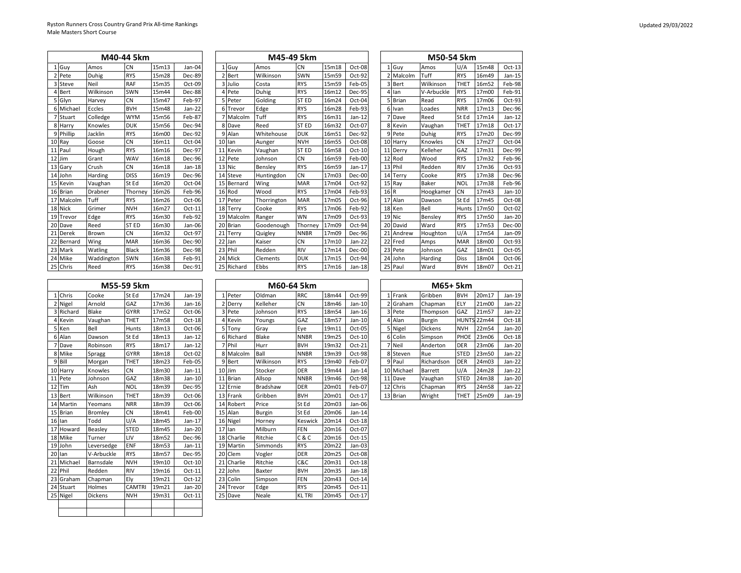|    |            |            | M40-44 5km       |       |               | M45-49 5km |             |                 |              | M50-54 5km |               |  |        |           |            |             |       |          |
|----|------------|------------|------------------|-------|---------------|------------|-------------|-----------------|--------------|------------|---------------|--|--------|-----------|------------|-------------|-------|----------|
|    | 1 Guv      | Amos       | <b>CN</b>        | 15m13 | Jan-04        |            | Guy<br>1    | Amos            | <b>CN</b>    | 15m18      | Oct-08        |  |        | 1 Guv     | Amos       | U/A         | 15m48 | $Oct-13$ |
|    | Pete       | Duhig      | <b>RYS</b>       | 15m28 | Dec-89        |            | 2 Bert      | Wilkinson       | SWN          | 15m59      | Oct-92        |  |        | 2 Malcolm | Tuff       | <b>RYS</b>  | 16m49 | $Jan-15$ |
|    | Steve      | Neil       | <b>RAF</b>       | 15m35 | Oct-09        |            | 3 Julio     | Costa           | <b>RYS</b>   | 15m59      | Feb-05        |  |        | 3 Bert    | Wilkinson  | <b>THET</b> | 16m52 | Feb-98   |
|    | Bert       | Wilkinson  | SWN              | 15m44 | <b>Dec-88</b> |            | 4 Pete      | Duhig           | <b>RYS</b>   | 16m12      | <b>Dec-95</b> |  |        | lan       | V-Arbuckle | <b>RYS</b>  | 17m00 | Feb-91   |
|    | Glyn       | Harvey     | <b>CN</b>        | 15m47 | Feb-97        |            | 5 Peter     | Golding         | <b>STED</b>  | 16m24      | Oct-04        |  |        | 5 Brian   | Read       | <b>RYS</b>  | 17m06 | Oct-93   |
|    | 6 Michae   | Eccles     | <b>BVH</b>       | 15m48 | Jan-22        |            | 6 Trevor    | Edge            | <b>RYS</b>   | 16m28      | Feb-93        |  |        | 6 Ivan    | Loades     | <b>NRR</b>  | 17m13 | Dec-96   |
|    | Stuart     | Colledge   | <b>WYM</b>       | 15m56 | Feb-87        |            | 7 Malcolm   | Tuff            | <b>RYS</b>   | 16m31      | $Jan-12$      |  |        | 7 Dave    | Reed       | St Ed       | 17m14 | $Jan-12$ |
|    | Harry      | Knowles    | <b>DUK</b>       | 15m56 | Dec-94        |            | 8 Dave      | Reed            | <b>ST ED</b> | 16m32      | Oct-07        |  |        | 8 Kevin   | Vaughan    | <b>THET</b> | 17m18 | Oct-17   |
|    | 9 Phillip  | Jacklin    | <b>RYS</b>       | 16m00 | Dec-92        |            | 9 Alan      | Whitehouse      | <b>DUK</b>   | 16m51      | Dec-92        |  |        | 9 Pete    | Duhig      | <b>RYS</b>  | 17m20 | Dec-99   |
|    | 10 Ray     | Goose      | <b>CN</b>        | 16m11 | Oct-04        |            | 10 Ian      | Aunger          | <b>NVH</b>   | 16m55      | Oct-08        |  |        | 10 Harry  | Knowles    | <b>CN</b>   | 17m27 | Oct-04   |
|    | 11 Paul    | Hough      | <b>RYS</b>       | 16m16 | Dec-97        |            | 11 Kevin    | Vaughan         | <b>STED</b>  | 16m58      | $Oct-10$      |  |        | 11 Derry  | Kelleher   | GAZ         | 17m31 | Dec-99   |
|    | 12 Jim     | Grant      | WAV              | 16m18 | Dec-96        |            | 12 Pete     | Johnson         | <b>CN</b>    | 16m59      | Feb-00        |  |        | 12 Rod    | Wood       | <b>RYS</b>  | 17m32 | Feb-96   |
|    | 13 Gary    | Crush      | <b>CN</b>        | 16m18 | $Jan-18$      |            | 13 Nic      | Bensley         | <b>RYS</b>   | 16m59      | $Jan-17$      |  |        | 13 Phil   | Redden     | <b>RIV</b>  | 17m36 | Oct-93   |
|    | 14 John    | Harding    | <b>DISS</b>      | 16m19 | Dec-96        |            | 14 Steve    | Huntingdon      | <b>CN</b>    | 17m03      | Dec-00        |  | 14     | Terry     | Cooke      | <b>RYS</b>  | 17m38 | Dec-96   |
|    | 15 Kevin   | Vaughan    | St Ed            | 16m20 | Oct-04        |            | 15 Bernard  | Wing            | <b>MAR</b>   | 17m04      | Oct-92        |  |        | 15 Ray    | Baker      | <b>NOL</b>  | 17m38 | Feb-96   |
|    | 16 Brian   | Drabner    | Thorney          | 16m26 | Feb-96        |            | 16 Rod      | Wood            | <b>RYS</b>   | 17m04      | Feb-93        |  | $16$ R |           | Hoogkamer  | <b>CN</b>   | 17m43 | $Jan-10$ |
|    | 17 Malcolm | Tuff       | <b>RYS</b>       | 16m26 | Oct-06        |            | 17 Peter    | Thorrington     | <b>MAR</b>   | 17m05      | Oct-96        |  |        | 17 Alan   | Dawson     | St Ed       | 17m45 | Oct-08   |
|    | 18 Nick    | Grimer     | <b>NVH</b>       | 16m27 | $Oct-11$      |            | 18 Terry    | Cooke           | <b>RYS</b>   | 17m06      | Feb-92        |  |        | 18 Ken    | Bell       | Hunts       | 17m50 | Oct-02   |
|    | 19 Trevor  | Edge       | <b>RYS</b>       | 16m30 | Feb-92        |            | 19 Malcolm  | Ranger          | <b>WN</b>    | 17m09      | Oct-93        |  |        | 19 Nic    | Bensley    | <b>RYS</b>  | 17m50 | $Jan-20$ |
|    | 20 Dave    | Reed       | ST <sub>ED</sub> | 16m30 | Jan-06        |            | 20 Brian    | Goodenough      | Thorney      | 17m09      | Oct-94        |  |        | 20 David  | Ward       | <b>RYS</b>  | 17m53 | Dec-00   |
| 21 | Derek      | Brown      | <b>CN</b>        | 16m32 | Oct-97        |            | 21<br>Terry | Quigley         | <b>NNBR</b>  | 17m09      | Dec-96        |  | 21     | Andrew    | Houghton   | U/A         | 17m54 | Jan-09   |
| 22 | Bernard    | Wing       | <b>MAR</b>       | 16m36 | Dec-90        |            | 22 Jan      | Kaiser          | <b>CN</b>    | 17m10      | $Jan-22$      |  |        | 22 Fred   | Amps       | <b>MAR</b>  | 18m00 | Oct-93   |
|    | 23 Mark    | Watling    | Black            | 16m36 | Dec-98        |            | 23 Phil     | Redden          | <b>RIV</b>   | 17m14      | Dec-00        |  |        | 23 Pete   | Johnson    | GAZ         | 18m01 | Oct-05   |
|    | 24 Mike    | Waddington | SWN              | 16m38 | Feb-91        |            | 24 Mick     | <b>Clements</b> | <b>DUK</b>   | 17m15      | Oct-94        |  | 24     | John      | Harding    | <b>Diss</b> | 18m04 | Oct-06   |
|    | 25 Chris   | Reed       | <b>RYS</b>       | 16m38 | Dec-91        |            | 25 Richard  | Ebbs            | <b>RYS</b>   | 17m16      | Jan-18        |  |        | 25 Paul   | Ward       | <b>BVH</b>  | 18m07 | $Oct-21$ |

|                 | M40-44 5km       |       |          |    |            | M45-49 5km  |                  |       |               |      |              | M50-54 5km |             |  |
|-----------------|------------------|-------|----------|----|------------|-------------|------------------|-------|---------------|------|--------------|------------|-------------|--|
|                 | <b>CN</b>        | 15m13 | Jan-04   |    | 1 Guv      | Amos        | CN               | 15m18 | Oct-08        |      | 1 Guy        | Amos       | U/A         |  |
|                 | <b>RYS</b>       | 15m28 | Dec-89   |    | 2 Bert     | Wilkinson   | SWN              | 15m59 | Oct-92        |      | 2 Malcolm    | Tuff       | <b>RYS</b>  |  |
|                 | <b>RAF</b>       | 15m35 | Oct-09   |    | 3 Julio    | Costa       | <b>RYS</b>       | 15m59 | Feb-05        |      | 3 Bert       | Wilkinson  | <b>THET</b> |  |
| nson            | <b>SWN</b>       | 15m44 | Dec-88   |    | 4 Pete     | Duhig       | <b>RYS</b>       | 16m12 | <b>Dec-95</b> |      | lan          | V-Arbuckle | <b>RYS</b>  |  |
| эy              | <b>CN</b>        | 15m47 | Feb-97   |    | 5 Peter    | Golding     | <b>STED</b>      | 16m24 | Oct-04        |      | <b>Brian</b> | Read       | <b>RYS</b>  |  |
| s               | <b>BVH</b>       | 15m48 | Jan-22   |    | 6 Trevor   | Edge        | <b>RYS</b>       | 16m28 | Feb-93        |      | 6 Ivan       | Loades     | <b>NRR</b>  |  |
| dge             | <b>WYM</b>       | 15m56 | Feb-87   |    | 7 Malcolm  | Tuff        | <b>RYS</b>       | 16m31 | $Jan-12$      |      | 7 Dave       | Reed       | St Ed       |  |
| <sub>/les</sub> | <b>DUK</b>       | 15m56 | Dec-94   |    | 8 Dave     | Reed        | <b>STED</b>      | 16m32 | Oct-07        |      | 8 Kevin      | Vaughan    | <b>THET</b> |  |
| n               | <b>RYS</b>       | 16m00 | Dec-92   |    | 9 Alan     | Whitehouse  | <b>DUK</b>       | 16m51 | Dec-92        |      | 9 Pete       | Duhig      | <b>RYS</b>  |  |
| e               | <b>CN</b>        | 16m11 | Oct-04   |    | 10 Ian     | Aunger      | <b>NVH</b>       | 16m55 | Oct-08        |      | 10 Harry     | Knowles    | CN          |  |
| 'n              | <b>RYS</b>       | 16m16 | Dec-97   | 11 | Kevin      | Vaughan     | ST <sub>ED</sub> | 16m58 | $Oct-10$      |      | 11 Derry     | Kelleher   | GAZ         |  |
|                 | <b>WAV</b>       | 16m18 | Dec-96   |    | 12 Pete    | Johnson     | CN               | 16m59 | Feb-00        |      | 12 Rod       | Wood       | <b>RYS</b>  |  |
|                 | <b>CN</b>        | 16m18 | $Jan-18$ |    | 13 Nic     | Benslev     | <b>RYS</b>       | 16m59 | $Jan-17$      |      | 13 Phil      | Redden     | <b>RIV</b>  |  |
| ing             | <b>DISS</b>      | 16m19 | Dec-96   |    | 14 Steve   | Huntingdon  | CN               | 17m03 | Dec-00        |      | 14 Terry     | Cooke      | <b>RYS</b>  |  |
| han             | St Ed            | 16m20 | Oct-04   |    | 15 Bernard | Wing        | <b>MAR</b>       | 17m04 | Oct-92        |      | 15 Ray       | Baker      | <b>NOL</b>  |  |
| ner             | Thorney          | 16m26 | Feb-96   |    | 16 Rod     | Wood        | <b>RYS</b>       | 17m04 | Feb-93        | 16 R |              | Hoogkamer  | <b>CN</b>   |  |
|                 | <b>RYS</b>       | 16m26 | Oct-06   |    | 17 Peter   | Thorrington | <b>MAR</b>       | 17m05 | Oct-96        |      | 17 Alan      | Dawson     | St Ed       |  |
| er              | <b>NVH</b>       | 16m27 | Oct-11   |    | 18 Terry   | Cooke       | <b>RYS</b>       | 17m06 | Feb-92        |      | 18 Ken       | Bell       | Hunts       |  |
|                 | <b>RYS</b>       | 16m30 | Feb-92   |    | 19 Malcolm | Ranger      | WN               | 17m09 | Oct-93        |      | 19 Nic       | Benslev    | <b>RYS</b>  |  |
|                 | ST <sub>ED</sub> | 16m30 | Jan-06   |    | 20 Brian   | Goodenough  | Thorney          | 17m09 | Oct-94        |      | 20 David     | Ward       | <b>RYS</b>  |  |
| 'n              | <b>CN</b>        | 16m32 | Oct-97   | 21 | Terry      | Quigley     | <b>NNBR</b>      | 17m09 | Dec-96        |      | 21 Andrew    | Houghton   | U/A         |  |
|                 | <b>MAR</b>       | 16m36 | Dec-90   |    | 22 Jan     | Kaiser      | CN               | 17m10 | $Jan-22$      |      | 22 Fred      | Amps       | <b>MAR</b>  |  |
| ng              | <b>Black</b>     | 16m36 | Dec-98   |    | 23 Phil    | Redden      | <b>RIV</b>       | 17m14 | Dec-00        |      | 23 Pete      | Johnson    | GAZ         |  |
| dington         | SWN              | 16m38 | Feb-91   |    | 24 Mick    | Clements    | <b>DUK</b>       | 17m15 | Oct-94        |      | 24 John      | Harding    | <b>Diss</b> |  |
|                 | <b>RYS</b>       | 16m38 | Dec-91   |    | 25 Richard | Ebbs        | <b>RYS</b>       | 17m16 | $Jan-18$      |      | 25 Paul      | Ward       | <b>BVH</b>  |  |

| M50-54 5km |              |            |             |        |          |  |  |  |  |  |  |  |  |
|------------|--------------|------------|-------------|--------|----------|--|--|--|--|--|--|--|--|
| 1          | Guy          | Amos       | U/A         | 15m48  | $Oct-13$ |  |  |  |  |  |  |  |  |
|            | 2 Malcolm    | Tuff       | <b>RYS</b>  | 16m49  | Jan-15   |  |  |  |  |  |  |  |  |
|            | 3 Bert       | Wilkinson  | <b>THET</b> | 16m52  | Feb-98   |  |  |  |  |  |  |  |  |
| 4          | lan          | V-Arbuckle | <b>RYS</b>  | 17m00  | Feb-91   |  |  |  |  |  |  |  |  |
| 5          | <b>Brian</b> | Read       | <b>RYS</b>  | 17m06  | Oct-93   |  |  |  |  |  |  |  |  |
| 6          | Ivan         | Loades     | <b>NRR</b>  | 17m13  | Dec-96   |  |  |  |  |  |  |  |  |
| 7          | Dave         | Reed       | St Ed       | 17m14  | $Jan-12$ |  |  |  |  |  |  |  |  |
|            | 8 Kevin      | Vaughan    | <b>THET</b> | 17m18  | Oct-17   |  |  |  |  |  |  |  |  |
| 9          | Pete         | Duhig      | <b>RYS</b>  | 17m20  | Dec-99   |  |  |  |  |  |  |  |  |
|            | 10 Harry     | Knowles    | CN          | 17m27  | Oct-04   |  |  |  |  |  |  |  |  |
| 11         | Derry        | Kelleher   | GAZ         | 17m31  | Dec-99   |  |  |  |  |  |  |  |  |
|            | 12 Rod       | Wood       | <b>RYS</b>  | 17m32  | Feb-96   |  |  |  |  |  |  |  |  |
|            | 13 Phil      | Redden     | <b>RIV</b>  | 17m36  | Oct-93   |  |  |  |  |  |  |  |  |
|            | 14 Terry     | Cooke      | <b>RYS</b>  | 17m38  | Dec-96   |  |  |  |  |  |  |  |  |
|            | 15 Ray       | Baker      | <b>NOL</b>  | 17m38  | Feb-96   |  |  |  |  |  |  |  |  |
| 16R        |              | Hoogkamer  | CN          | 17m43  | $Jan-10$ |  |  |  |  |  |  |  |  |
|            | 17 Alan      | Dawson     | St Ed       | 17m45  | Oct-08   |  |  |  |  |  |  |  |  |
|            | 18 Ken       | Bell       | Hunts       | 17m50  | Oct-02   |  |  |  |  |  |  |  |  |
|            | 19 Nic       | Bensley    | <b>RYS</b>  | 17m50  | Jan-20   |  |  |  |  |  |  |  |  |
|            | 20 David     | Ward       | <b>RYS</b>  | 17m53  | Dec-00   |  |  |  |  |  |  |  |  |
| 21         | Andrew       | Houghton   | U/A         | 17m54  | Jan-09   |  |  |  |  |  |  |  |  |
|            | 22 Fred      | Amps       | MAR         | 18m00  | Oct-93   |  |  |  |  |  |  |  |  |
|            | 23 Pete      | Johnson    | GAZ         | 18m01  | Oct-05   |  |  |  |  |  |  |  |  |
|            | 24 John      | Harding    | <b>Diss</b> | 18m04  | Oct-06   |  |  |  |  |  |  |  |  |
| 25         | Paul         | Ward       | <b>BVH</b>  | Oct-21 |          |  |  |  |  |  |  |  |  |

|            |                | M55-59 5km    |       |          |    |            |                 | M60-64 5km    |                   |          |                      | M65+ 5km       |             |                    |          |
|------------|----------------|---------------|-------|----------|----|------------|-----------------|---------------|-------------------|----------|----------------------|----------------|-------------|--------------------|----------|
| 1 Chris    | Cooke          | St Ed         | 17m24 | Jan-19   |    | Peter      | Oldman          | RRC           | 18m44             | Oct-99   | 1 Frank              | Gribben        | <b>BVH</b>  | 20m17              | $Jan-19$ |
| 2 Nigel    | Arnold         | GAZ           | 17m36 | Jan-16   |    | Derry      | Kelleher        | <b>CN</b>     | 18m46             | Jan-10   | Graham               | Chapman        | ELY         | 21m00              | Jan-22   |
| 3 Richard  | Blake          | <b>GYRR</b>   | 17m52 | Oct-06   |    | 3 Pete     | Johnson         | <b>RYS</b>    | 18m54             | $Jan-16$ | 3 Pete               | Thompson       | GAZ         | 21m57              | $Jan-22$ |
| 4 Kevin    | Vaughan        | <b>THET</b>   | 17m58 | $Oct-18$ |    | Kevin      | Youngs          | GAZ           | 18m57             | $Jan-10$ | 4 Alan               | Burgin         |             | <b>HUNTS 22m44</b> | $Oct-18$ |
| 5 Ken      | Bell           | Hunts         | 18m13 | Oct-06   |    | 5 Tony     | Gray            | Eye           | 19m11             | Oct-05   | 5 Nigel              | <b>Dickens</b> | <b>NVH</b>  | 22m54              | Jan-20   |
| 6 Alan     | Dawson         | St Ed         | 18m13 | $Jan-12$ |    | 6 Richard  | Blake           | <b>NNBR</b>   | 19m25             | Oct-10   | 6 Colin              | Simpson        | PHOE        | 23m06              | Oct-18   |
| 7 Dave     | Robinson       | <b>RYS</b>    | 18m17 | Jan-12   |    | 7 Phil     | Hurr            | <b>BVH</b>    | 19m32             | Oct-21   | 7 Neil               | Anderton       | <b>DER</b>  | 23m06              | $Jan-20$ |
| 8 Mike     | Spragg         | <b>GYRR</b>   | 18m18 | Oct-02   |    | 8 Malcolm  | Ball            | <b>NNBR</b>   | 19m39             | Oct-98   | 8 Steven             | Rue            | <b>STED</b> | 23m50              | Jan-22   |
| 9 Bill     | Morgan         | <b>THET</b>   | 18m23 | Feb-05   |    | 9 Bert     | Wilkinson       | <b>RYS</b>    | 19m40             | Feb-07   | Paul<br>$\mathbf{Q}$ | Richardson     | <b>DER</b>  | 24m03              | $Jan-22$ |
| 10 Harry   | Knowles        | <b>CN</b>     | 18m30 | $Jan-11$ |    | 10 Jim     | Stocker         | <b>DER</b>    | 19m44             | $Jan-14$ | 10 Michael           | Barrett        | U/A         | 24m28              | $Jan-22$ |
| 11 Pete    | Johnson        | GAZ           | 18m38 | $Jan-10$ |    | 11 Brian   | Allsop          | <b>NNBR</b>   | 19 <sub>m46</sub> | Oct-98   | 11 Dave              | Vaughan        | <b>STED</b> | 24m38              | $Jan-20$ |
| 12 Tim     | Ash            | <b>NOL</b>    | 18m39 | Dec-95   |    | 12 Ernie   | <b>Bradshaw</b> | <b>DER</b>    | 20m01             | Feb-07   | 12 Chris             | Chapman        | <b>RYS</b>  | 24m58              | Jan-22   |
| 13 Bert    | Wilkinson      | <b>THET</b>   | 18m39 | Oct-06   |    | 13 Frank   | Gribben         | <b>BVH</b>    | 20m01             | Oct-17   | 13 Brian             | Wright         | <b>THET</b> | 25m09              | Jan-19   |
| 14 Martin  | Yeomans        | <b>NRR</b>    | 18m39 | Oct-06   | 14 | Robert     | Price           | St Ed         | 20m03             | Jan-06   |                      |                |             |                    |          |
| 15 Brian   | Bromley        | <b>CN</b>     | 18m41 | Feb-00   |    | 15 Alan    | Burgin          | St Ed         | 20m06             | $Jan-14$ |                      |                |             |                    |          |
| 16 Ian     | Todd           | U/A           | 18m45 | Jan-17   |    | 16 Nigel   | Horney          | Keswick       | 20m14             | Oct-18   |                      |                |             |                    |          |
| 17 Howard  | Beasley        | <b>STED</b>   | 18m45 | Jan-20   |    | 17 Ian     | Milburn         | <b>FEN</b>    | 20m16             | Oct-07   |                      |                |             |                    |          |
| 18 Mike    | Turner         | LIV           | 18m52 | Dec-96   |    | 18 Charlie | Ritchie         | C&C           | 20m16             | Oct-15   |                      |                |             |                    |          |
| 19 John    | Leversedge     | <b>ENF</b>    | 18m53 | $Jan-11$ | 19 | Martin     | Simmonds        | <b>RYS</b>    | 20m22             | $Jan-03$ |                      |                |             |                    |          |
| 20 Ian     | V-Arbuckle     | <b>RYS</b>    | 18m57 | Dec-95   |    | 20 Clem    | Vogler          | <b>DER</b>    | 20m25             | Oct-08   |                      |                |             |                    |          |
| 21 Michael | Barnsdale      | <b>NVH</b>    | 19m10 | Oct-10   | 21 | Charlie    | Ritchie         | C&C           | 20m31             | $Oct-18$ |                      |                |             |                    |          |
| 22 Phil    | Redden         | <b>RIV</b>    | 19m16 | $Oct-11$ | 22 | John       | Baxter          | <b>BVH</b>    | 20m35             | $Jan-18$ |                      |                |             |                    |          |
| 23 Graham  | Chapman        | Ely           | 19m21 | $Oct-12$ |    | 23 Colin   | Simpson         | <b>FEN</b>    | 20m43             | Oct-14   |                      |                |             |                    |          |
| 24 Stuart  | Holmes         | <b>CAMTRI</b> | 19m21 | Jan-20   |    | 24 Trevor  | Edge            | <b>RYS</b>    | 20m45             | Oct-11   |                      |                |             |                    |          |
| 25 Nigel   | <b>Dickens</b> | <b>NVH</b>    | 19m31 | $Oct-11$ |    | 25 Dave    | Neale           | <b>KL TRI</b> | 20m45             | $Oct-17$ |                      |                |             |                    |          |
|            |                |               |       |          |    |            |                 |               |                   |          |                      |                |             |                    |          |
|            |                |               |       |          |    |            |                 |               |                   |          |                      |                |             |                    |          |

|        | M55-59 5km    |       |          |                |            |           | M60-64 5km    |       |          |   |            | M65+ 5km   |             |
|--------|---------------|-------|----------|----------------|------------|-----------|---------------|-------|----------|---|------------|------------|-------------|
| е      | St Ed         | 17m24 | Jan-19   | $\mathbf{1}$   | Peter      | Oldman    | <b>RRC</b>    | 18m44 | Oct-99   |   | 1 Frank    | Gribben    | <b>BVH</b>  |
| ld     | GAZ           | 17m36 | $Jan-16$ | $\overline{2}$ | Derry      | Kelleher  | CN            | 18m46 | $Jan-10$ |   | 2 Graham   | Chapman    | <b>ELY</b>  |
|        | <b>GYRR</b>   | 17m52 | Oct-06   | 3              | Pete       | Johnson   | <b>RYS</b>    | 18m54 | Jan-16   |   | 3 Pete     | Thompson   | GAZ         |
| han    | <b>THET</b>   | 17m58 | $Oct-18$ | 4              | Kevin      | Youngs    | GAZ           | 18m57 | $Jan-10$ | 4 | Alan       | Burgin     | <b>HUNT</b> |
|        | Hunts         | 18m13 | $Oct-06$ |                | 5 Tony     | Gray      | Eye           | 19m11 | Oct-05   |   | 5 Nigel    | Dickens    | NVH         |
| on     | St Ed         | 18m13 | $Jan-12$ | 6              | Richard    | Blake     | <b>NNBR</b>   | 19m25 | Oct-10   |   | 6 Colin    | Simpson    | PHOE        |
| son    | <b>RYS</b>    | 18m17 | Jan-12   | 7              | Phil       | Hurr      | <b>BVH</b>    | 19m32 | Oct-21   |   | 7 Neil     | Anderton   | <b>DER</b>  |
| g.     | <b>GYRR</b>   | 18m18 | Oct-02   | 8              | Malcolm    | Ball      | <b>NNBR</b>   | 19m39 | Oct-98   |   | 8 Steven   | Rue        | <b>STED</b> |
| an:    | <b>THET</b>   | 18m23 | Feb-05   | 9              | Bert       | Wilkinson | <b>RYS</b>    | 19m40 | Feb-07   |   | 9 Paul     | Richardson | <b>DER</b>  |
| les/   | <b>CN</b>     | 18m30 | $Jan-11$ |                | 10 Jim     | Stocker   | <b>DER</b>    | 19m44 | $Jan-14$ |   | 10 Michael | Barrett    | U/A         |
| son    | GAZ           | 18m38 | $Jan-10$ |                | 11 Brian   | Allsop    | <b>NNBR</b>   | 19m46 | Oct-98   |   | 11 Dave    | Vaughan    | <b>STED</b> |
|        | <b>NOL</b>    | 18m39 | Dec-95   |                | 12 Ernie   | Bradshaw  | <b>DER</b>    | 20m01 | Feb-07   |   | 12 Chris   | Chapman    | <b>RYS</b>  |
| nson   | <b>THET</b>   | 18m39 | $Oct-06$ |                | 13 Frank   | Gribben   | <b>BVH</b>    | 20m01 | Oct-17   |   | 13 Brian   | Wright     | <b>THET</b> |
| ans    | <b>NRR</b>    | 18m39 | $Oct-06$ |                | 14 Robert  | Price     | St Ed         | 20m03 | Jan-06   |   |            |            |             |
| ılev   | <b>CN</b>     | 18m41 | Feb-00   |                | 15 Alan    | Burgin    | St Ed         | 20m06 | $Jan-14$ |   |            |            |             |
|        | U/A           | 18m45 | $Jan-17$ |                | 16 Nigel   | Horney    | Keswick       | 20m14 | Oct-18   |   |            |            |             |
| ey     | <b>STED</b>   | 18m45 | Jan-20   | 17             | lan        | Milburn   | <b>FEN</b>    | 20m16 | Oct-07   |   |            |            |             |
| эr     | LIV           | 18m52 | Dec-96   |                | 18 Charlie | Ritchie   | C & C         | 20m16 | $Oct-15$ |   |            |            |             |
| sedge  | <b>ENF</b>    | 18m53 | $Jan-11$ |                | 19 Martin  | Simmonds  | <b>RYS</b>    | 20m22 | $Jan-03$ |   |            |            |             |
| ouckle | <b>RYS</b>    | 18m57 | Dec-95   |                | 20 Clem    | Vogler    | <b>DER</b>    | 20m25 | Oct-08   |   |            |            |             |
| sdale  | <b>NVH</b>    | 19m10 | $Oct-10$ | 21             | Charlie    | Ritchie   | C&C           | 20m31 | Oct-18   |   |            |            |             |
| en     | <b>RIV</b>    | 19m16 | Oct-11   | 22             | John       | Baxter    | <b>BVH</b>    | 20m35 | $Jan-18$ |   |            |            |             |
| man    | Elv           | 19m21 | Oct-12   |                | 23 Colin   | Simpson   | FEN           | 20m43 | Oct-14   |   |            |            |             |
| es     | <b>CAMTRI</b> | 19m21 | Jan-20   |                | 24 Trevor  | Edge      | <b>RYS</b>    | 20m45 | $Oct-11$ |   |            |            |             |
| ns:    | <b>NVH</b>    | 19m31 | $Oct-11$ |                | 25 Dave    | Neale     | <b>KL TRI</b> | 20m45 | $Oct-17$ |   |            |            |             |
|        |               |       |          |                |            |           |               |       |          |   |            |            |             |

|                |            | M65+ 5km       |             |                    |          |
|----------------|------------|----------------|-------------|--------------------|----------|
|                | 1 Frank    | Gribben        | <b>BVH</b>  | 20m17              | Jan-19   |
| $\overline{2}$ | Graham     | Chapman        | ELY         | 21m00              | $Jan-22$ |
|                | 3 Pete     | Thompson       | GAZ         | 21m57              | $Jan-22$ |
|                | 4 Alan     | Burgin         |             | <b>HUNTS 22m44</b> | Oct-18   |
|                | 5 Nigel    | <b>Dickens</b> | <b>NVH</b>  | 22m54              | Jan-20   |
|                | 6 Colin    | Simpson        | PHOE        | 23m06              | $Oct-18$ |
|                | 7 Neil     | Anderton       | <b>DER</b>  | 23m06              | Jan-20   |
|                | 8 Steven   | Rue            | <b>STED</b> | 23m50              | $Jan-22$ |
|                | 9 Paul     | Richardson     | <b>DER</b>  | 24m03              | $Jan-22$ |
|                | 10 Michael | Barrett        | U/A         | 24m28              | $Jan-22$ |
| 11             | Dave       | Vaughan        | <b>STED</b> | 24m38              | Jan-20   |
| 12             | Chris      | Chapman        | <b>RYS</b>  | 24m58              | Jan-22   |
|                | 13 Brian   | Wright         | <b>THFT</b> | 25m09              | lan-19   |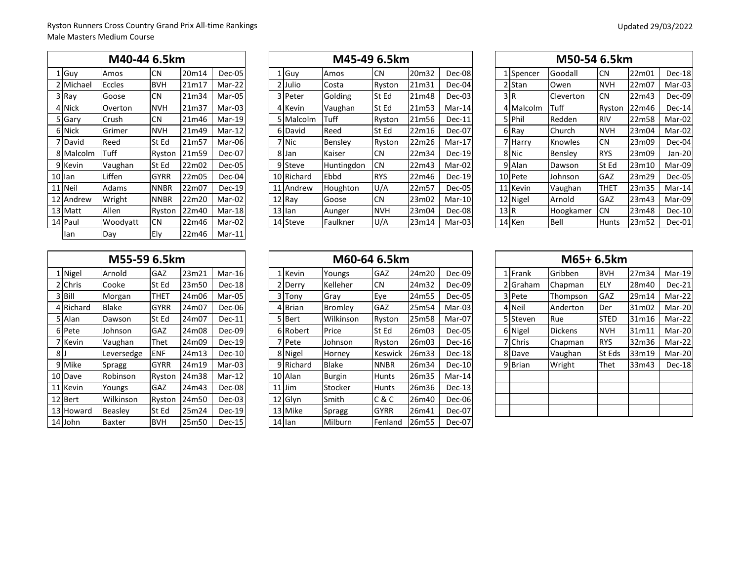| M40-44 6.5km |             |               |             |       |               |  |  |  |  |  |  |  |  |  |
|--------------|-------------|---------------|-------------|-------|---------------|--|--|--|--|--|--|--|--|--|
|              | $1$ Guy     | Amos          | CN          | 20m14 | Dec-05        |  |  |  |  |  |  |  |  |  |
|              | 2 Michael   | <b>Eccles</b> | <b>BVH</b>  | 21m17 | Mar-22        |  |  |  |  |  |  |  |  |  |
|              | 3 Ray       | Goose         | CN          | 21m34 | Mar-05        |  |  |  |  |  |  |  |  |  |
|              | 4 Nick      | Overton       | <b>NVH</b>  | 21m37 | Mar-03        |  |  |  |  |  |  |  |  |  |
| 51           | Gary        | Crush         | CN          | 21m46 | $Mar-19$      |  |  |  |  |  |  |  |  |  |
| 6            | <b>Nick</b> | Grimer        | <b>NVH</b>  | 21m49 | $Mar-12$      |  |  |  |  |  |  |  |  |  |
| 7            | David       | Reed          | St Ed       | 21m57 | Mar-06        |  |  |  |  |  |  |  |  |  |
|              | 8 Malcolm   | Tuff          | Ryston      | 21m59 | Dec-07        |  |  |  |  |  |  |  |  |  |
|              | 9 Kevin     | Vaughan       | St Ed       | 22m02 | Dec-05        |  |  |  |  |  |  |  |  |  |
|              | 10 llan     | Liffen        | <b>GYRR</b> | 22m05 | Dec-04        |  |  |  |  |  |  |  |  |  |
| 11           | Neil        | Adams         | <b>NNBR</b> | 22m07 | <b>Dec-19</b> |  |  |  |  |  |  |  |  |  |
|              | 12 Andrew   | Wright        | <b>NNBR</b> | 22m20 | Mar-02        |  |  |  |  |  |  |  |  |  |
|              | 13 Matt     | Allen         | Ryston      | 22m40 | Mar-18        |  |  |  |  |  |  |  |  |  |
|              | 14 Paul     | Woodyatt      | <b>CN</b>   | 22m46 | Mar-02        |  |  |  |  |  |  |  |  |  |
|              | lan         | Day           | Ely         | 22m46 | Mar-11        |  |  |  |  |  |  |  |  |  |

|           | M40-44 6.5km |             |       |          |  |            | M45-49 6.5km |            |       |          |     |           | M50-54 6.5km |               |       |               |
|-----------|--------------|-------------|-------|----------|--|------------|--------------|------------|-------|----------|-----|-----------|--------------|---------------|-------|---------------|
| 1 Guy     | Amos         | CN          | 20m14 | Dec-05   |  | L Guy      | Amos         | <b>CN</b>  | 20m32 | Dec-08   |     | 1 Spencer | Goodall      | <b>CN</b>     | 22m01 | Dec-18        |
| 2 Michael | Eccles       | <b>BVH</b>  | 21m17 | Mar-22   |  | 2 Julio    | Costa        | Ryston     | 21m31 | Dec-04   |     | 2 Stan    | Owen         | <b>NVH</b>    | 22m07 | Mar-03        |
| 3 Ray     | Goose        | <b>CN</b>   | 21m34 | Mar-05   |  | 3 Peter    | Golding      | St Ed      | 21m48 | Dec-03   |     | 3 R       | Cleverton    | <b>CN</b>     | 22m43 | Dec-09        |
| 4 Nick    | Overton      | <b>NVH</b>  | 21m37 | Mar-03   |  | 4 Kevin    | Vaughan      | St Ed      | 21m53 | Mar-14   |     | 4 Malcolm | Tuff         | <b>Ryston</b> | 22m46 | Dec-14        |
| 5 Gary    | Crush        | <b>CN</b>   | 21m46 | Mar-19   |  | 5 Malcolm  | Tuff         | Ryston     | 21m56 | Dec-11   |     | 5 Phil    | Redden       | <b>RIV</b>    | 22m58 | Mar-02        |
| 6 Nick    | Grimer       | <b>NVH</b>  | 21m49 | $Mar-12$ |  | 6 David    | Reed         | St Ed      | 22m16 | Dec-07   |     | 6 Ray     | Church       | <b>NVH</b>    | 23m04 | Mar-02        |
| 7 David   | Reed         | St Ed       | 21m57 | Mar-06   |  | 7 Nic      | Bensley      | Ryston     | 22m26 | Mar-17   |     | 7 Harry   | Knowles      | <b>CN</b>     | 23m09 | Dec-04        |
| 8 Malcolm | Tuff         | Ryston      | 21m59 | Dec-07   |  | 8 Jan      | Kaiser       | <b>CN</b>  | 22m34 | $Dec-19$ |     | 8 Nic     | Bensley      | <b>RYS</b>    | 23m09 | $Jan-20$      |
| 9 Kevin   | Vaughan      | lSt Ed      | 22m02 | Dec-05   |  | 9 Steve    | Huntingdon   | <b>CN</b>  | 22m43 | Mar-02   |     | 9 Alan    | Dawson       | St Ed         | 23m10 | Mar-09        |
| 10llan    | Liffen       | <b>GYRR</b> | 22m05 | Dec-04   |  | 10 Richard | Ebbd         | <b>RYS</b> | 22m46 | $Dec-19$ |     | 10 Pete   | Johnson      | GAZ           | 23m29 | Dec-05        |
| 11 Neil   | Adams        | <b>NNBR</b> | 22m07 | Dec-19   |  | 11 Andrew  | Houghton     | U/A        | 22m57 | Dec-05   |     | 11 Kevin  | Vaughan      | <b>THET</b>   | 23m35 | Mar-14        |
| 12 Andrew | Wright       | <b>NNBR</b> | 22m20 | Mar-02   |  | $12$ Ray   | Goose        | <b>CN</b>  | 23m02 | Mar-10   |     | 12 Nigel  | Arnold       | GAZ           | 23m43 | Mar-09        |
| 13 Matt   | Allen        | Ryston      | 22m40 | $Mar-18$ |  | $13$ lan   | Aunger       | <b>NVH</b> | 23m04 | Dec-08   | 13R |           | Hoogkamer    | <b>CN</b>     | 23m48 | <b>Dec-10</b> |
| 14 Paul   | Woodyatt     | <b>CN</b>   | 22m46 | Mar-02   |  | 14 Steve   | Faulkner     | U/A        | 23m14 | Mar-03   |     | 14 Ken    | Bell         | l Hunts       | 23m52 | Dec-01        |
|           |              |             |       |          |  |            |              |            |       |          |     |           |              |               |       |               |

|                 | M50-54 6.5km |           |             |       |               |  |  |  |  |  |  |  |  |  |
|-----------------|--------------|-----------|-------------|-------|---------------|--|--|--|--|--|--|--|--|--|
| $\mathbf{1}$    | Spencer      | Goodall   | <b>CN</b>   | 22m01 | Dec-18        |  |  |  |  |  |  |  |  |  |
|                 | 2 Stan       | Owen      | <b>NVH</b>  | 22m07 | Mar-03        |  |  |  |  |  |  |  |  |  |
| 3               | R            | Cleverton | CΝ          | 22m43 | Dec-09        |  |  |  |  |  |  |  |  |  |
| 4               | Malcolm      | Tuff      | Ryston      | 22m46 | Dec-14        |  |  |  |  |  |  |  |  |  |
| 51              | Phil         | Redden    | <b>RIV</b>  | 22m58 | Mar-02        |  |  |  |  |  |  |  |  |  |
| 6               | Ray          | Church    | <b>NVH</b>  | 23m04 | Mar-02        |  |  |  |  |  |  |  |  |  |
| $\overline{7}$  | Harry        | Knowles   | <b>CN</b>   | 23m09 | Dec-04        |  |  |  |  |  |  |  |  |  |
|                 | 8 Nic        | Bensley   | <b>RYS</b>  | 23m09 | Jan-20        |  |  |  |  |  |  |  |  |  |
| 9١              | Alan         | Dawson    | St Ed       | 23m10 | Mar-09        |  |  |  |  |  |  |  |  |  |
| 101             | Pete         | Johnson   | GAZ         | 23m29 | <b>Dec-05</b> |  |  |  |  |  |  |  |  |  |
| 11              | Kevin        | Vaughan   | <b>THET</b> | 23m35 | Mar-14        |  |  |  |  |  |  |  |  |  |
| 12 <sup>1</sup> | Nigel        | Arnold    | GAZ         | 23m43 | Mar-09        |  |  |  |  |  |  |  |  |  |
| 13              | R            | Hoogkamer | <b>CN</b>   | 23m48 | Dec-10        |  |  |  |  |  |  |  |  |  |
|                 | 14 Ken       | Bell      | Hunts       | 23m52 | Dec-01        |  |  |  |  |  |  |  |  |  |

| M55-59 6.5km |           |            |             |       |               |  |  |  |  |  |  |  |  |  |
|--------------|-----------|------------|-------------|-------|---------------|--|--|--|--|--|--|--|--|--|
|              | 1 Nigel   | Arnold     | GAZ         | 23m21 | Mar-16        |  |  |  |  |  |  |  |  |  |
| 2            | Chris     | Cooke      | St Ed       | 23m50 | Dec-18        |  |  |  |  |  |  |  |  |  |
| 3            | Bill      | Morgan     | <b>THET</b> | 24m06 | Mar-05        |  |  |  |  |  |  |  |  |  |
| 4            | Richard   | Blake      | <b>GYRR</b> | 24m07 | Dec-06        |  |  |  |  |  |  |  |  |  |
|              | 5 I Alan  | Dawson     | St Ed       | 24m07 | <b>Dec-11</b> |  |  |  |  |  |  |  |  |  |
| 6            | Pete      | Johnson    | GAZ         | 24m08 | Dec-09        |  |  |  |  |  |  |  |  |  |
|              | 7 Kevin   | Vaughan    | Thet        | 24m09 | Dec-19        |  |  |  |  |  |  |  |  |  |
| 8            | IJ        | Leversedge | <b>ENF</b>  | 24m13 | <b>Dec-10</b> |  |  |  |  |  |  |  |  |  |
| 9            | Mike      | Spragg     | <b>GYRR</b> | 24m19 | Mar-03        |  |  |  |  |  |  |  |  |  |
|              | 10 Dave   | Robinson   | Ryston      | 24m38 | Mar-12        |  |  |  |  |  |  |  |  |  |
| 11           | Kevin     | Youngs     | GAZ         | 24m43 | Dec-08        |  |  |  |  |  |  |  |  |  |
|              | 12 Bert   | Wilkinson  | Ryston      | 24m50 | Dec-03        |  |  |  |  |  |  |  |  |  |
|              | 13 Howard | Beasley    | St Ed       | 25m24 | <b>Dec-19</b> |  |  |  |  |  |  |  |  |  |
|              | 14 John   | Baxter     | <b>BVH</b>  | 25m50 | <b>Dec-15</b> |  |  |  |  |  |  |  |  |  |

|                |           |              | M60-64 6.5km  |       |          |  |           |               |             | M65+ 6.5km |          |  |          |                 |             |       |        |
|----------------|-----------|--------------|---------------|-------|----------|--|-----------|---------------|-------------|------------|----------|--|----------|-----------------|-------------|-------|--------|
|                | 1 Nigel   | Arnold       | GAZ           | 23m21 | Mar-16   |  | 1 Kevin   | Youngs        | GAZ         | 24m20      | Dec-09   |  | 1 Frank  | Gribben         | <b>BVH</b>  | 27m34 | Mar-19 |
|                | 2 Chris   | Cooke        | St Ed         | 23m50 | Dec-18   |  | 2 Derry   | Kelleher      | <b>CN</b>   | 24m32      | Dec-09   |  | 2 Graham | Chapman         | <b>IELY</b> | 28m40 | Dec-21 |
|                | 3 Bill    | Morgan       | THET          | 24m06 | Mar-05   |  | 3 Tony    | Gray          | Eye         | 24m55      | Dec-05   |  | 3 Pete   | Thompson        | GAZ         | 29m14 | Mar-22 |
|                | 4 Richard | <b>Blake</b> | <b>GYRR</b>   | 24m07 | Dec-06   |  | 4 Brian   | Bromley       | GAZ         | 25m54      | Mar-03   |  | 4 Neil   | <b>Anderton</b> | <b>IDer</b> | 31m02 | Mar-20 |
|                | 5 Alan    | Dawson       | <b>St Ed</b>  | 24m07 | $Dec-11$ |  | 5 Bert    | Wilkinson     | Ryston      | 25m58      | Mar-07   |  | 5 Steven | Rue             | <b>STED</b> | 31m16 | Mar-22 |
|                | 6 Pete    | Johnson      | GAZ           | 24m08 | Dec-09   |  | 6 Robert  | Price         | St Ed       | 26m03      | Dec-05   |  | 6 Nigel  | <b>Dickens</b>  | <b>NVH</b>  | 31m11 | Mar-20 |
|                | 7 Kevin   | Vaughan      | Thet          | 24m09 | Dec-19   |  | 7 Pete    | Johnson       | Ryston      | 26m03      | $Dec-16$ |  | 7 Chris  | Chapman         | <b>RYS</b>  | 32m36 | Mar-22 |
| 8 <sub>l</sub> |           | Leversedge   | <b>ENF</b>    | 24m13 | $Dec-10$ |  | 8 Nigel   | Horney        | Keswick     | 26m33      | Dec-18   |  | 8 Dave   | Vaughan         | St Eds      | 33m19 | Mar-20 |
|                | 9 Mike    | Spragg       | <b>GYRR</b>   | 24m19 | Mar-03   |  | 9 Richard | <b>Blake</b>  | <b>NNBR</b> | 26m34      | $Dec-10$ |  | 9 Brian  | Wright          | Thet        | 33m43 | Dec-18 |
|                | 10 Dave   | Robinson     | <b>Ryston</b> | 24m38 | $Mar-12$ |  | 10 Alan   | <b>Burgin</b> | Hunts       | 26m35      | Mar-14   |  |          |                 |             |       |        |
|                | 11 Kevin  | Youngs       | GAZ           | 24m43 | Dec-08   |  | $11$ Jim  | Stocker       | Hunts       | 26m36      | $Dec-13$ |  |          |                 |             |       |        |
|                | 12 Bert   | Wilkinson    | <b>Ryston</b> | 24m50 | Dec-03   |  | 12 Glyn   | Smith         | C & C       | 26m40      | Dec-06   |  |          |                 |             |       |        |
|                | 13 Howard | Beasley      | lSt Ed        | 25m24 | $Dec-19$ |  | 13 Mike   | <b>Spragg</b> | GYRR        | 26m41      | Dec-07   |  |          |                 |             |       |        |
|                | 14 John   | Baxter       | <b>BVH</b>    | 25m50 | $Dec-15$ |  | $14$ lan  | Milburn       | Fenland     | 26m55      | Dec-07   |  |          |                 |             |       |        |

|                |              | M65+ 6.5km     |             |       |          |
|----------------|--------------|----------------|-------------|-------|----------|
|                | 1 Frank      | Gribben        | <b>BVH</b>  | 27m34 | $Mar-19$ |
| 2              | Graham       | Chapman        | ELY         | 28m40 | Dec-21   |
| 3              | Pete         | Thompson       | GAZ         | 29m14 | Mar-22   |
| $\overline{4}$ | Neil         | Anderton       | Der         | 31m02 | Mar-20   |
| 51             | Steven       | Rue            | <b>STED</b> | 31m16 | Mar-22   |
| 6              | Nigel        | <b>Dickens</b> | <b>NVH</b>  | 31m11 | Mar-20   |
| 7              | Chris        | Chapman        | <b>RYS</b>  | 32m36 | Mar-22   |
| 8              | Dave         | Vaughan        | St Eds      | 33m19 | Mar-20   |
| 9              | <b>Brian</b> | Wright         | Thet        | 33m43 | Dec-18   |
|                |              |                |             |       |          |
|                |              |                |             |       |          |
|                |              |                |             |       |          |
|                |              |                |             |       |          |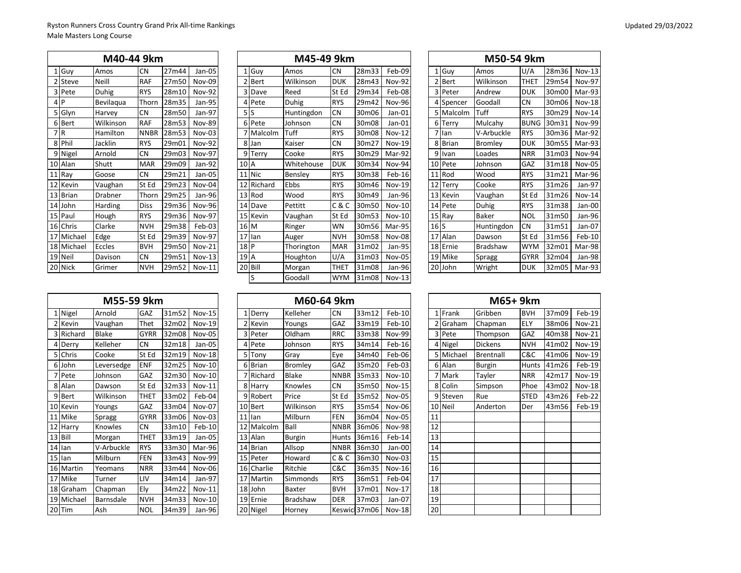|    |              | M40-44 9km |             |       |               |    |                 | M45-49 9km |             |       |               |     |           | M50-54 9km      |             |       |        |
|----|--------------|------------|-------------|-------|---------------|----|-----------------|------------|-------------|-------|---------------|-----|-----------|-----------------|-------------|-------|--------|
|    | Guy          | Amos       | <b>CN</b>   | 27m44 | Jan-05        |    | 1 Guy           | Amos       | <b>CN</b>   | 28m33 | Feb-09        |     | 1 Guy     | Amos            | U/A         | 28m36 | Nov-13 |
|    | Steve        | Neill      | <b>RAF</b>  | 27m50 | Nov-09        |    | 2 Bert          | Wilkinson  | <b>DUK</b>  | 28m43 | <b>Nov-92</b> |     | 2 Bert    | Wilkinson       | THET        | 29m54 | Nov-97 |
|    | 3 Pete       | Duhig      | <b>RYS</b>  | 28m10 | <b>Nov-92</b> |    | 3 Dave          | Reed       | St Ed       | 29m34 | Feb-08        |     | 3 Peter   | Andrew          | <b>DUK</b>  | 30m00 | Mar-93 |
|    | 4 P          | Bevilagua  | Thorn       | 28m35 | Jan-95        |    | 4 Pete          | Duhig      | <b>RYS</b>  | 29m42 | Nov-96        |     | 4 Spencer | Goodall         | <b>CN</b>   | 30m06 | Nov-18 |
|    | 5 Glyn       | Harvey     | <b>CN</b>   | 28m50 | Jan-97        |    | 5S              | Huntingdon | <b>CN</b>   | 30m06 | $Jan-01$      |     | 5 Malcolm | Tuff            | <b>RYS</b>  | 30m29 | Nov-14 |
|    | 6 Bert       | Wilkinson  | <b>RAF</b>  | 28m53 | <b>Nov-89</b> |    | 6 Pete          | Johnson    | <b>CN</b>   | 30m08 | Jan-01        | 6   | Terry     | Mulcahv         | <b>BUNG</b> | 30m31 | Nov-99 |
|    | 'IR          | Hamilton   | <b>NNBR</b> | 28m53 | Nov-03        |    | 7 Malcolm       | Tuff       | <b>RYS</b>  | 30m08 | $Nov-12$      |     | 7 Ian     | V-Arbuckle      | <b>RYS</b>  | 30m36 | Mar-92 |
|    | 8 Phil       | Jacklin    | <b>RYS</b>  | 29m01 | <b>Nov-92</b> |    | 8 Jan           | Kaiser     | <b>CN</b>   | 30m27 | $Nov-19$      |     | 8 Brian   | Bromley         | <b>DUK</b>  | 30m55 | Mar-93 |
|    | 9 Nigel      | Arnold     | <b>CN</b>   | 29m03 | <b>Nov-97</b> |    | 9 Terry         | Cooke      | <b>RYS</b>  | 30m29 | Mar-92        | 9   | Ivan      | Loades          | <b>NRR</b>  | 31m03 | Nov-94 |
|    | 10 Alan      | Shutt      | <b>MAR</b>  | 29m09 | Jan-92        |    | 10 A            | Whitehouse | <b>DUK</b>  | 30m34 | Nov-94        |     | 10 Pete   | Johnson         | GAZ         | 31m18 | Nov-05 |
|    | 11 Ray       | Goose      | <b>CN</b>   | 29m21 | Jan-05        |    | 11 Nic          | Bensley    | <b>RYS</b>  | 30m38 | Feb-16        |     | 11 Rod    | Wood            | <b>RYS</b>  | 31m21 | Mar-96 |
| 12 | Kevin        | Vaughan    | St Ed       | 29m23 | Nov-04        | 12 | Richard         | Ebbs       | <b>RYS</b>  | 30m46 | <b>Nov-19</b> | 12  | Terry     | Cooke           | <b>RYS</b>  | 31m26 | Jan-97 |
| 13 | <b>Brian</b> | Drabner    | Thorn       | 29m25 | Jan-96        |    | 13<br>Rod       | Wood       | <b>RYS</b>  | 30m49 | Jan-96        | 13  | Kevin     | Vaughan         | St Ed       | 31m26 | Nov-14 |
|    | 14 John      | Harding    | <b>Diss</b> | 29m36 | <b>Nov-96</b> |    | 14 Dave         | Pettitt    | C&C         | 30m50 | Nov-10        |     | 14 Pete   | <b>Duhig</b>    | <b>RYS</b>  | 31m38 | Jan-00 |
|    | 15 Paul      | Hough      | <b>RYS</b>  | 29m36 | <b>Nov-97</b> |    | 15 Kevin        | Vaughan    | St Ed       | 30m53 | $Nov-10$      |     | 15 Ray    | <b>Baker</b>    | <b>NOL</b>  | 31m50 | Jan-96 |
|    | 16 Chris     | Clarke     | <b>NVH</b>  | 29m38 | Feb-03        |    | 16 M            | Ringer     | <b>WN</b>   | 30m56 | Mar-95        | 16S |           | Huntingdon      | <b>CN</b>   | 31m51 | Jan-07 |
| 17 | Michael      | Edge       | St Ed       | 29m39 | <b>Nov-97</b> | 17 | llan            | Auger      | <b>NVH</b>  | 30m58 | Nov-08        | 17  | Alan      | Dawson          | St Ed       | 31m56 | Feb-10 |
|    | 18 Michael   | Eccles     | <b>BVH</b>  | 29m50 | $Nov-21$      |    | 18 <sub>P</sub> | Thorington | <b>MAR</b>  | 31m02 | Jan-95        | 18  | Ernie     | <b>Bradshaw</b> | WYM         | 32m01 | Mar-98 |
|    | 19 Neil      | Davison    | <b>CN</b>   | 29m51 | $Nov-13$      |    | 19 A            | Houghton   | U/A         | 31m03 | <b>Nov-05</b> | 19  | Mike      | Spragg          | <b>GYRR</b> | 32m04 | Jan-98 |
|    | 20 Nick      | Grimer     | <b>NVH</b>  | 29m52 | <b>Nov-11</b> |    | 20 Bill         | Morgan     | <b>THET</b> | 31m08 | Jan-96        | 20  | John      | Wright          | <b>DUK</b>  | 32m05 | Mar-93 |
|    |              |            |             |       |               |    |                 |            |             |       |               |     |           |                 |             |       |        |

|   |              | M40-44 9km     |             |       |               |                |          | M45-49 9km |            |       |               |              |              | M50-54 9km      |             |       |        |
|---|--------------|----------------|-------------|-------|---------------|----------------|----------|------------|------------|-------|---------------|--------------|--------------|-----------------|-------------|-------|--------|
|   | Guy          | Amos           | <b>CN</b>   | 27m44 | Jan-05        |                | 1 Guy    | Amos       | <b>CN</b>  | 28m33 | Feb-09        | $\mathbf{1}$ | Guy          | Amos            | U/A         | 28m36 | Nov-13 |
|   | Steve        | Neill          | <b>RAF</b>  | 27m50 | Nov-09        | 2              | Bert     | Wilkinson  | <b>DUK</b> | 28m43 | Nov-92        |              | 2 Bert       | Wilkinson       | <b>THET</b> | 29m54 | Nov-97 |
|   | Pete         | Duhig          | <b>RYS</b>  | 28m10 | Nov-92        |                | 3 Dave   | Reed       | St Ed      | 29m34 | Feb-08        |              | 3 Peter      | Andrew          | <b>DUK</b>  | 30m00 | Mar-93 |
|   | <b>P</b>     | Bevilagua      | Thorn       | 28m35 | Jan-95        |                | 4 Pete   | Duhig      | <b>RYS</b> | 29m42 | <b>Nov-96</b> |              | 4 Spencer    | Goodall         | <b>CN</b>   | 30m06 | Nov-18 |
|   | Glyn         | Harvey         | <b>CN</b>   | 28m50 | Jan-97        | 5 <sub>5</sub> |          | Huntingdon | <b>CN</b>  | 30m06 | $Jan-01$      |              | 5 Malcolm    | Tuff            | <b>RYS</b>  | 30m29 | Nov-14 |
| 6 | Bert         | Wilkinson      | <b>RAF</b>  | 28m53 | <b>Nov-89</b> |                | 6 Pete   | Johnson    | <b>CN</b>  | 30m08 | $Jan-01$      |              | 6 Terry      | Mulcahy         | <b>BUNG</b> | 30m31 | Nov-99 |
|   | l R          | Hamilton       | <b>NNBR</b> | 28m53 | Nov-03        |                | Malcolm  | Tuff       | <b>RYS</b> | 30m08 | $Nov-12$      |              | 7 Ian        | V-Arbuckle      | <b>RYS</b>  | 30m36 | Mar-92 |
|   | Phil         | Jacklin        | <b>RYS</b>  | 29m01 | Nov-92        |                | 8 Jan    | Kaiser     | <b>CN</b>  | 30m27 | Nov-19        | 8            | <b>Brian</b> | Bromley         | <b>DUK</b>  | 30m55 | Mar-93 |
|   | Nigel        | Arnold         | <b>CN</b>   | 29m03 | Nov-97        |                | 9 Terry  | Cooke      | <b>RYS</b> | 30m29 | Mar-92        | 9            | Ivan         | Loades          | <b>NRR</b>  | 31m03 | Nov-94 |
|   | Alan         | Shutt          | <b>MAR</b>  | 29m09 | Jan-92        | 10 A           |          | Whitehouse | <b>DUK</b> | 30m34 | Nov-94        |              | 10 Pete      | Johnson         | GAZ         | 31m18 | Nov-05 |
|   | Ray          | Goose          | <b>CN</b>   | 29m21 | Jan-05        |                | 11 Nic   | Bensley    | <b>RYS</b> | 30m38 | Feb-16        |              | 11 Rod       | Wood            | <b>RYS</b>  | 31m21 | Mar-96 |
|   | Kevin        | Vaughan        | St Ed       | 29m23 | Nov-04        | 12             | Richard  | Ebbs       | <b>RYS</b> | 30m46 | <b>Nov-19</b> | 12           | Terry        | Cooke           | <b>RYS</b>  | 31m26 | Jan-97 |
|   | <b>Brian</b> | <b>Drabner</b> | Thorn       | 29m25 | Jan-96        |                | 13 Rod   | Wood       | <b>RYS</b> | 30m49 | Jan-96        | 13           | Kevin        | Vaughan         | St Ed       | 31m26 | Nov-14 |
|   | John         | Harding        | <b>Diss</b> | 29m36 | Nov-96        |                | 14 Dave  | Pettitt    | C & C      | 30m50 | Nov-10        |              | 14 Pete      | <b>Duhig</b>    | <b>RYS</b>  | 31m38 | Jan-00 |
|   | Paul         | Hough          | <b>RYS</b>  | 29m36 | Nov-97        |                | 15 Kevin | Vaughan    | St Ed      | 30m53 | Nov-10        |              | 15 Ray       | <b>Baker</b>    | <b>NOL</b>  | 31m50 | Jan-96 |
|   | Chris        | Clarke         | <b>NVH</b>  | 29m38 | Feb-03        | 16 M           |          | Ringer     | WN         | 30m56 | Mar-95        | 16S          |              | Huntingdon      | <b>CN</b>   | 31m51 | Jan-07 |
|   | Michael      | Edge           | St Ed       | 29m39 | Nov-97        |                | 17 Ian   | Auger      | <b>NVH</b> | 30m58 | Nov-08        |              | 17 Alan      | Dawson          | St Ed       | 31m56 | Feb-10 |
|   | Michael      | Eccles         | <b>BVH</b>  | 29m50 | <b>Nov-21</b> | 18 P           |          | Thorington | MAR        | 31m02 | Jan-95        |              | 18 Ernie     | <b>Bradshaw</b> | <b>WYM</b>  | 32m01 | Mar-98 |
|   | Neil         | Davison        | <b>CN</b>   | 29m51 | $Nov-13$      | 19 A           |          | Houghton   | U/A        | 31m03 | <b>Nov-05</b> |              | 19 Mike      | Spragg          | <b>GYRR</b> | 32m04 | Jan-98 |
|   | 0 Nick       | Grimer         | <b>NVH</b>  | 29m52 | $Nov-11$      | 20             | Bill     | Morgan     | THET       | 31m08 | Jan-96        |              | 20 John      | Wright          | <b>DUK</b>  | 32m05 | Mar-93 |
|   |              |                |             |       |               |                | ıS       | Goodall    | <b>WYM</b> | 31m08 | $Nov-13$      |              |              |                 |             |       |        |
|   |              |                |             |       |               |                |          |            |            |       |               |              |              |                 |             |       |        |

|                |              | M50-54 9km   |             |       |               |
|----------------|--------------|--------------|-------------|-------|---------------|
|                | 1 Guy        | Amos         | U/A         | 28m36 | Nov-13        |
| $\overline{2}$ | Bert         | Wilkinson    | THET        | 29m54 | Nov-97        |
| 3              | Peter        | Andrew       | <b>DUK</b>  | 30m00 | Mar-93        |
|                | 4 Spencer    | Goodall      | <b>CN</b>   | 30m06 | <b>Nov-18</b> |
| 5              | Malcolm      | Tuff         | <b>RYS</b>  | 30m29 | <b>Nov-14</b> |
| 6              | Terry        | Mulcahy      | <b>BUNG</b> | 30m31 | Nov-99        |
| 7              | lan          | V-Arbuckle   | <b>RYS</b>  | 30m36 | Mar-92        |
| 8              | <b>Brian</b> | Bromley      | <b>DUK</b>  | 30m55 | Mar-93        |
| 9              | Ivan         | Loades       | <b>NRR</b>  | 31m03 | Nov-94        |
| 10             | Pete         | Johnson      | GAZ         | 31m18 | Nov-05        |
| 11             | Rod          | Wood         | <b>RYS</b>  | 31m21 | Mar-96        |
| 12             | Terry        | Cooke        | <b>RYS</b>  | 31m26 | Jan-97        |
| 13             | Kevin        | Vaughan      | St Ed       | 31m26 | <b>Nov-14</b> |
| 14             | Pete         | Duhig        | <b>RYS</b>  | 31m38 | Jan-00        |
| 15             | Ray          | <b>Baker</b> | <b>NOL</b>  | 31m50 | Jan-96        |
| 16S            |              | Huntingdon   | <b>CN</b>   | 31m51 | Jan-07        |
| 17             | Alan         | Dawson       | St Ed       | 31m56 | Feb-10        |
|                | 18 Ernie     | Bradshaw     | <b>WYM</b>  | 32m01 | Mar-98        |
| 19             | Mike         | Spragg       | <b>GYRR</b> | 32m04 | Jan-98        |
| <b>20</b>      | John         | Wright       | <b>DUK</b>  | 32m05 | Mar-93        |

|    |           | M55-59 9km   |             |       |               |    |                | M60-64 9km    |             |              |               |    |
|----|-----------|--------------|-------------|-------|---------------|----|----------------|---------------|-------------|--------------|---------------|----|
|    | 1 Nigel   | Arnold       | GAZ         | 31m52 | <b>Nov-15</b> |    | 1 Derry        | Kelleher      | CN          | 33m12        | $Feb-10$      |    |
|    | 2 Kevin   | Vaughan      | Thet        | 32m02 | <b>Nov-19</b> |    | 2 Kevin        | Youngs        | GAZ         | 33m19        | $Feb-10$      |    |
|    | 3 Richard | <b>Blake</b> | <b>GYRR</b> | 32m08 | Nov-05        |    | 3 Peter        | Oldham        | <b>RRC</b>  | 33m38        | <b>Nov-99</b> | 3  |
| 4  | Derry     | Kelleher     | <b>CN</b>   | 32m18 | Jan-05        |    | 4 Pete         | Johnson       | <b>RYS</b>  | 34m14        | Feb-16        | 4  |
|    | Chris     | Cooke        | St Ed       | 32m19 | Nov-18        | 5  | Tony           | Gray          | Eye         | 34m40        | Feb-06        | 5  |
|    | 6 John    | Leversedge   | <b>ENF</b>  | 32m25 | $Nov-10$      |    | 6 Brian        | Bromley       | GAZ         | 35m20        | Feb-03        | 6  |
|    | 7 Pete    | Johnson      | GAZ         | 32m30 | $Nov-10$      |    | Richard        | <b>Blake</b>  | <b>NNBR</b> | 35m33        | $Nov-10$      | 7  |
| 8  | Alan      | Dawson       | St Ed       | 32m33 | $Nov-11$      |    | 8 Harry        | Knowles       | <b>CN</b>   | 35m50        | <b>Nov-15</b> | 8  |
| 9  | Bert      | Wilkinson    | <b>THET</b> | 33m02 | Feb-04        |    | 9 Robert       | Price         | St Ed       | 35m52        | Nov-05        | 9  |
| 10 | Kevin     | Youngs       | GAZ         | 33m04 | Nov-07        |    | 10 Bert        | Wilkinson     | <b>RYS</b>  | 35m54        | Nov-06        | 10 |
| 11 | Mike      | Spragg       | <b>GYRR</b> | 33m06 | Nov-03        | 11 | <b>Ilan</b>    | Milburn       | <b>FEN</b>  | 36m04        | <b>Nov-05</b> | 11 |
| 12 | Harry     | Knowles      | <b>CN</b>   | 33m10 | $Feb-10$      | 12 | <b>Malcolm</b> | Ball          | <b>NNBR</b> | 36m06        | <b>Nov-98</b> | 12 |
| 13 | Bill      | Morgan       | THET        | 33m19 | Jan-05        | 13 | Alan           | <b>Burgin</b> | Hunts       | 36m16        | Feb-14        | 13 |
| 14 | lan       | V-Arbuckle   | <b>RYS</b>  | 33m30 | Mar-96        | 14 | <b>Brian</b>   | Allsop        | <b>NNBR</b> | 36m30        | Jan-00        | 14 |
| 15 | lan       | Milburn      | <b>FEN</b>  | 33m43 | Nov-99        |    | 15 Peter       | Howard        | C & C       | 36m30        | $Nov-03$      | 15 |
| 16 | Martin    | Yeomans      | <b>NRR</b>  | 33m44 | Nov-06        |    | 16 Charlie     | Ritchie       | C&C         | 36m35        | Nov-16        | 16 |
| 17 | Mike      | Turner       | LIV         | 34m14 | Jan-97        | 17 | Martin         | Simmonds      | <b>RYS</b>  | 36m51        | Feb-04        | 17 |
| 18 | Graham    | Chapman      | Ely         | 34m22 | <b>Nov-11</b> |    | 18 John        | Baxter        | <b>BVH</b>  | 37m01        | <b>Nov-17</b> | 18 |
| 19 | Michael   | Barnsdale    | <b>NVH</b>  | 34m33 | $Nov-10$      | 19 | Ernie          | Bradshaw      | <b>DER</b>  | 37m03        | Jan-07        | 19 |
| 20 | Tim       | Ash          | <b>NOL</b>  | 34m39 | Jan-96        |    | 20 Nigel       | Horney        |             | Keswicl37m06 | <b>Nov-18</b> | 20 |

| M55-59 9km |             |       |               |  |            | M60-64 9km    |              |               |               |    |           | M65+9km        |             |
|------------|-------------|-------|---------------|--|------------|---------------|--------------|---------------|---------------|----|-----------|----------------|-------------|
| nold       | <b>GAZ</b>  | 31m52 | $Nov-15$      |  | 1 Derry    | Kelleher      | <b>CN</b>    | 33m12         | $Feb-10$      |    | 1 Frank   | Gribben        | <b>BVH</b>  |
| ughan      | Thet        | 32m02 | $Nov-19$      |  | 2 Kevin    | Youngs        | GAZ          | 33m19         | $Feb-10$      |    | 2 Graham  | Chapman        | ELY         |
| ake        | <b>GYRR</b> | 32m08 | Nov-05        |  | 3 Peter    | Oldham        | <b>RRC</b>   | 33m38         | <b>Nov-99</b> |    | 3 Pete    | Thompson       | GAZ         |
| lleher     | CN.         | 32m18 | Jan-05        |  | 4 Pete     | Johnson       | <b>RYS</b>   | 34m14         | Feb-16        |    | 4 Nigel   | <b>Dickens</b> | <b>NVH</b>  |
| oke        | St Ed       | 32m19 | Nov-18        |  | 5 Tony     | Gray          | Eye          | 34m40         | Feb-06        |    | 5 Michael | Brentnall      | C&C         |
| versedge   | <b>ENF</b>  | 32m25 | <b>Nov-10</b> |  | 6 Brian    | Bromley       | GAZ          | 35m20         | Feb-03        |    | 6 Alan    | <b>Burgin</b>  | Hunts       |
| าทรon      | GAZ         | 32m30 | <b>Nov-10</b> |  | 7 Richard  | Blake         | <b>NNBR</b>  | 35m33         | $Nov-10$      |    | 7 Mark    | Tayler         | <b>NRR</b>  |
| wson       | St Ed       | 32m33 | $Nov-11$      |  | 8 Harry    | Knowles       | <b>CN</b>    | 35m50         | $Nov-15$      |    | 8 Colin   | Simpson        | Phoe        |
| ilkinson   | THET        | 33m02 | Feb-04        |  | 9 Robert   | Price         | St Ed        | 35m52         | Nov-05        |    | 9 Steven  | Rue            | <b>STED</b> |
| ungs       | GAZ         | 33m04 | Nov-07        |  | 10 Bert    | Wilkinson     | <b>RYS</b>   | 35m54         | Nov-06        |    | 10 Neil   | Anderton       | Der         |
| ragg       | <b>GYRR</b> | 33m06 | Nov-03        |  | $11$ lan   | Milburn       | <b>FEN</b>   | 36m04         | Nov-05        | 11 |           |                |             |
| owles      | <b>CN</b>   | 33m10 | $Feb-10$      |  | 12 Malcolm | Ball          | <b>NNBR</b>  | 36m06         | <b>Nov-98</b> | 12 |           |                |             |
| organ      | <b>THET</b> | 33m19 | Jan-05        |  | 13 Alan    | <b>Burgin</b> | <b>Hunts</b> | 36m16         | Feb-14        | 13 |           |                |             |
| Arbuckle   | <b>RYS</b>  | 33m30 | Mar-96        |  | 14 Brian   | Allsop        | <b>NNBR</b>  | 36m30         | Jan-00        | 14 |           |                |             |
| Iburn      | <b>FEN</b>  | 33m43 | Nov-99        |  | 15 Peter   | Howard        | C & C        | 36m30         | Nov-03        | 15 |           |                |             |
| omans      | <b>NRR</b>  | 33m44 | Nov-06        |  | 16 Charlie | Ritchie       | C&C          | 36m35         | $Nov-16$      | 16 |           |                |             |
| rner       | LIV         | 34m14 | Jan-97        |  | 17 Martin  | Simmonds      | <b>RYS</b>   | 36m51         | Feb-04        | 17 |           |                |             |
| apman      | Ely         | 34m22 | $Nov-11$      |  | 18 John    | <b>Baxter</b> | <b>BVH</b>   | 37m01         | Nov-17        | 18 |           |                |             |
| rnsdale    | <b>NVH</b>  | 34m33 | Nov-10        |  | 19 Ernie   | Bradshaw      | DER          | 37m03         | Jan-07        | 19 |           |                |             |
|            | <b>NOL</b>  | 34m39 | Jan-96        |  | 20 Nigel   | Horney        |              | Keswicl 37m06 | Nov-18        | 20 |           |                |             |
|            |             |       |               |  |            |               |              |               |               |    |           |                |             |

|    |            | M55-59 9km   |             |       |               |  |            | M60-64 9km    |             |               |               |    |           | M65+ 9km       |              |       |               |
|----|------------|--------------|-------------|-------|---------------|--|------------|---------------|-------------|---------------|---------------|----|-----------|----------------|--------------|-------|---------------|
|    | 1 Nigel    | Arnold       | <b>GAZ</b>  | 31m52 | <b>Nov-15</b> |  | 1 Derry    | Kelleher      | <b>CN</b>   | 33m12         | $Feb-10$      |    | 1 Frank   | Gribben        | <b>BVH</b>   | 37m09 | Feb-19        |
|    | 2 Kevin    | Vaughan      | Thet        | 32m02 | <b>Nov-19</b> |  | 2 Kevin    | Youngs        | GAZ         | 33m19         | $Feb-10$      |    | 2 Graham  | Chapman        | ELY          | 38m06 | <b>Nov-21</b> |
|    | 3 Richard  | <b>Blake</b> | <b>GYRR</b> | 32m08 | Nov-05        |  | 3 Peter    | Oldham        | <b>RRC</b>  | 33m38         | Nov-99        |    | 3 Pete    | Thompson       | GAZ          | 40m38 | Nov-21        |
|    | Derry      | Kelleher     | <b>CN</b>   | 32m18 | Jan-05        |  | 4 Pete     | Johnson       | <b>RYS</b>  | 34m14         | Feb-16        |    | 4 Nigel   | <b>Dickens</b> | <b>NVH</b>   | 41m02 | <b>Nov-19</b> |
|    | 5 Chris    | Cooke        | St Ed       | 32m19 | <b>Nov-18</b> |  | 5 Tony     | Gray          | Eye         | 34m40         | Feb-06        |    | 5 Michael | Brentnall      | C&C          | 41m06 | <b>Nov-19</b> |
| 6  | John       | Leversedge   | <b>ENF</b>  | 32m25 | <b>Nov-10</b> |  | 6 Brian    | Bromley       | GAZ         | 35m20         | Feb-03        |    | 6 Alan    | Burgin         | <b>Hunts</b> | 41m26 | Feb-19        |
|    | Pete       | Johnson      | GAZ         | 32m30 | <b>Nov-10</b> |  | 7 Richard  | <b>Blake</b>  | <b>NNBR</b> | 35m33         | $Nov-10$      | 71 | Mark      | Tayler         | <b>NRR</b>   | 42m17 | <b>Nov-19</b> |
| 8  | Alan       | Dawson       | St Ed       | 32m33 | Nov-11        |  | 8 Harry    | Knowles       | <b>CN</b>   | 35m50         | $Nov-15$      |    | 8 Colin   | Simpson        | Phoe         | 43m02 | Nov-18        |
| 9  | Bert       | Wilkinson    | <b>THET</b> | 33m02 | Feb-04        |  | 9 Robert   | Price         | St Ed       | 35m52         | Nov-05        |    | 9 Steven  | Rue            | <b>STED</b>  | 43m26 | Feb-22        |
| 10 | Kevin      | Youngs       | GAZ         | 33m04 | <b>Nov-07</b> |  | 10 Bert    | Wilkinson     | <b>RYS</b>  | 35m54         | Nov-06        |    | 10 Neil   | Anderton       | Der          | 43m56 | Feb-19        |
|    | 11 Mike    | Spragg       | <b>GYRR</b> | 33m06 | Nov-03        |  | 11 lan     | Milburn       | FEN         | 36m04         | <b>Nov-05</b> | 11 |           |                |              |       |               |
| 12 | Harry      | Knowles      | <b>CN</b>   | 33m10 | Feb-10        |  | 12 Malcolm | <b>Ball</b>   | <b>NNBR</b> | 36m06         | Nov-98        | 12 |           |                |              |       |               |
|    | 13 Bill    | Morgan       | <b>THET</b> | 33m19 | Jan-05        |  | 13 Alan    | <b>Burgin</b> | Hunts       | 36m16         | Feb-14        | 13 |           |                |              |       |               |
|    | 14 lan     | V-Arbuckle   | <b>RYS</b>  | 33m30 | Mar-96        |  | 14 Brian   | Allsop        | <b>NNBR</b> | 36m30         | Jan-00        | 14 |           |                |              |       |               |
|    | 15 lan     | Milburn      | <b>FEN</b>  | 33m43 | Nov-99        |  | 15 Peter   | Howard        | C & C       | 36m30         | Nov-03        | 15 |           |                |              |       |               |
|    | 16 Martin  | Yeomans      | <b>NRR</b>  | 33m44 | Nov-06        |  | 16 Charlie | Ritchie       | C&C         | 36m35         | $Nov-16$      | 16 |           |                |              |       |               |
|    | 17 Mike    | Turner       | LIV         | 34m14 | Jan-97        |  | 17 Martin  | Simmonds      | <b>RYS</b>  | 36m51         | Feb-04        | 17 |           |                |              |       |               |
|    | 18 Graham  | Chapman      | Ely         | 34m22 | $Nov-11$      |  | 18 John    | <b>Baxter</b> | <b>BVH</b>  | 37m01         | <b>Nov-17</b> | 18 |           |                |              |       |               |
|    | 19 Michael | Barnsdale    | <b>NVH</b>  | 34m33 | Nov-10        |  | 19 Ernie   | Bradshaw      | <b>DER</b>  | 37m03         | Jan-07        | 19 |           |                |              |       |               |
| 20 | Tim        | Ash          | <b>NOL</b>  | 34m39 | Jan-96        |  | 20 Nigel   | Horney        |             | Keswicl 37m06 | <b>Nov-18</b> | 20 |           |                |              |       |               |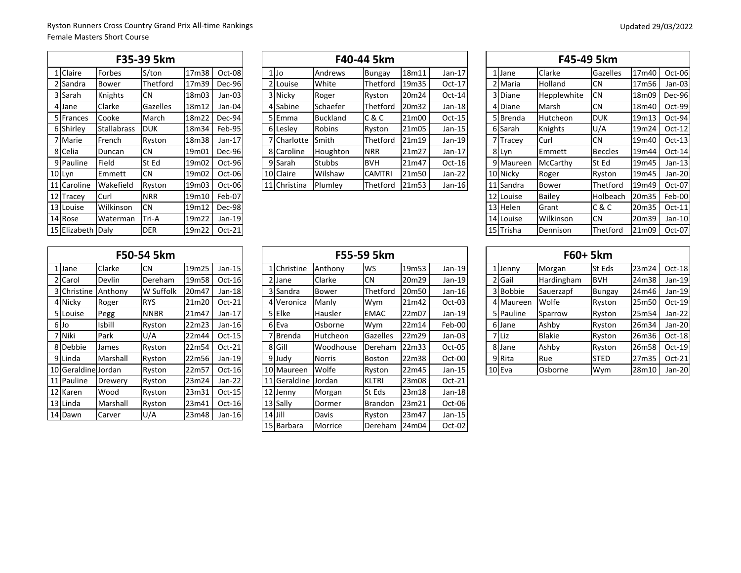|    |              |                    | F35-39 5km |       |          |
|----|--------------|--------------------|------------|-------|----------|
|    | 1 Claire     | Forbes             | S/ton      | 17m38 | Oct-08   |
|    | 2 Sandra     | Bower              | Thetford   | 17m39 | Dec-96   |
|    | 3 Sarah      | Knights            | <b>CN</b>  | 18m03 | Jan-03   |
|    | 4 Jane       | Clarke             | Gazelles   | 18m12 | Jan-04   |
|    | 5 Frances    | Cooke              | March      | 18m22 | Dec-94   |
| 6  | Shirley      | <b>Stallabrass</b> | <b>DUK</b> | 18m34 | Feb-95   |
|    | 7 Marie      | French             | Ryston     | 18m38 | $Jan-17$ |
|    | 8 Celia      | Duncan             | <b>CN</b>  | 19m01 | Dec-96   |
|    | 9 Pauline    | Field              | St Ed      | 19m02 | Oct-96   |
|    | 10 Lyn       | Emmett             | <b>CN</b>  | 19m02 | Oct-06   |
| 11 | Caroline     | Wakefield          | Ryston     | 19m03 | Oct-06   |
|    | 12 Tracey    | Curl               | <b>NRR</b> | 19m10 | Feb-07   |
|    | 13 Louise    | Wilkinson          | <b>CN</b>  | 19m12 | Dec-98   |
|    | 14 Rose      | Waterman           | Tri-A      | 19m22 | Jan-19   |
|    | 15 Elizabeth | Daly               | <b>DER</b> | 19m22 | Oct-21   |

|             |                    | F35-39 5km      |                    |          |              |               | F40-44 5km    |       |                |  |           | F45-49 5km   |                |                   |          |
|-------------|--------------------|-----------------|--------------------|----------|--------------|---------------|---------------|-------|----------------|--|-----------|--------------|----------------|-------------------|----------|
| 1 Claire    | Forbes             | S/ton           | 17m38              | $Oct-08$ | $1$ Jo       | Andrews       | Bungay        | 18m11 | Jan-17         |  | 1 Jane    | Clarke       | Gazelles       | 17m40             | Oct-06   |
| 2 Sandra    | <b>Bower</b>       | Thetford        | 17m39              | Dec-96   | 2 Louise     | White         | Thetford      | 19m35 | $Oct-17$       |  | 2 Maria   | Holland      | <b>CN</b>      | 17m56             | Jan-03   |
| 3 Sarah     | Knights            | <b>CN</b>       | 18m03              | Jan-03   | 3 Nicky      | Roger         | Ryston        | 20m24 | $Oct-14$       |  | 3 Diane   | Hepplewhite  | <b>CN</b>      | 18m09             | Dec-96   |
| 4 Jane      | Clarke             | <b>Gazelles</b> | 18m12              | Jan-04   | 4 Sabine     | Schaefer      | Thetford      | 20m32 | $Jan-18$       |  | 4 Diane   | Marsh        | <b>CN</b>      | 18m40             | Oct-99   |
| 5 Frances   | Cooke              | March           | 18m22              | Dec-94   | 5 Emma       | Buckland      | C & C         | 21m00 | $Oct-15$       |  | 5 Brenda  | Hutcheon     | <b>DUK</b>     | 19m13             | Oct-94   |
| 6 Shirley   | <b>Stallabrass</b> | <b>DUK</b>      | 18m34              | Feb-95   | 6 Lesley     | Robins        | Ryston        | 21m05 | Jan-15         |  | 6 Sarah   | Knights      | U/A            | 19m24             | $Oct-12$ |
| 7 Marie     | French             | Ryston          | 18m38              | $Jan-17$ | 7 Charlotte  | Smith         | Thetford      | 21m19 | $Jan-19$       |  | 7 Tracev  | Curl         | <b>CN</b>      | 19 <sub>m40</sub> | $Oct-13$ |
| 8 Celia     | Duncan             | <b>CN</b>       | 19 <sub>m</sub> 01 | Dec-96   | 8 Caroline   | Houghton      | <b>NRR</b>    | 21m27 | $Jan-17$       |  | 8 Lyn     | Emmett       | <b>Beccles</b> | 19m44             | $Oct-14$ |
| 9 Pauline   | Field              | St Ed           | 19m02              | Oct-96   | 9 Sarah      | <b>Stubbs</b> | <b>BVH</b>    | 21m47 | $Oct-16$       |  | 9 Maureen | McCarthy     | St Ed          | 19 <sub>m45</sub> | Jan-13   |
| 10 Lyn      | <b>IEmmett</b>     | <b>CN</b>       | 19 <sub>m</sub> 02 | Oct-06   | 10 Claire    | Wilshaw       | <b>CAMTRI</b> | 21m50 | $Jan-22$       |  | 10 Nicky  | Roger        | Ryston         | 19 <sub>m45</sub> | Jan-20   |
| 11 Caroline | <b>Wakefield</b>   | Ryston          | 19m03              | $Oct-06$ | 11 Christina | Plumley       | Thetford      | 21m53 | Jan-16 $\vert$ |  | 11 Sandra | <b>Bower</b> | Thetford       | 19m49             | Oct-07   |
|             |                    |                 |                    |          |              |               |               |       |                |  |           |              |                |                   |          |

|                   |                    | F35-39 5km |                    |          |        |              |                 | F40-44 5km    |       |          |  |           | F45-49 5km    |                |                   |          |
|-------------------|--------------------|------------|--------------------|----------|--------|--------------|-----------------|---------------|-------|----------|--|-----------|---------------|----------------|-------------------|----------|
| 1 Claire          | Forbes             | S/ton      | 17m38              | Oct-08   | $1$ Jo |              | Andrews         | Bungay        | 18m11 | Jan-17   |  | 1 Jane    | <b>Clarke</b> | Gazelles       | 17m40             | Oct-06   |
| 2 Sandra          | <b>Bower</b>       | Thetford   | 17m39              | Dec-96   |        | 2 Louise     | White           | Thetford      | 19m35 | Oct-17   |  | 2 Maria   | Holland       | <b>CN</b>      | 17m56             | Jan-03   |
| 3 Sarah           | <b>Knights</b>     | <b>CN</b>  | 18m03              | Jan-03   |        | 3 Nicky      | Roger           | Ryston        | 20m24 | Oct-14   |  | 3 Diane   | Hepplewhite   | <b>CN</b>      | 18m09             | Dec-96   |
| 4 Jane            | Clarke             | Gazelles   | 18m12              | Jan-04   |        | 4 Sabine     | Schaefer        | Thetford      | 20m32 | Jan-18   |  | 4 Diane   | Marsh         | <b>CN</b>      | 18m40             | Oct-99   |
| 5 Frances         | Cooke              | March      | 18m22              | Dec-94   |        | 5 Emma       | <b>Buckland</b> | C & C         | 21m00 | $Oct-15$ |  | 5 Brenda  | Hutcheon      | <b>DUK</b>     | 19m13             | Oct-94   |
| 6 Shirley         | <b>Stallabrass</b> | <b>DUK</b> | 18m34              | Feb-95   |        | 6 Lesley     | <b>Robins</b>   | Ryston        | 21m05 | Jan-15   |  | 6 Sarah   | Knights       | U/A            | 19m24             | Oct-12   |
| 7 Marie           | French             | Ryston     | 18m38              | $Jan-17$ |        | 7 Charlotte  | Smith           | Thetford      | 21m19 | Jan-19   |  | 7 Tracey  | Curl          | <b>CN</b>      | 19 <sub>m40</sub> | $Oct-13$ |
| 8 Celia           | Duncan             | <b>CN</b>  | 19 <sub>m</sub> 01 | Dec-96   |        | 8 Caroline   | Houghton        | <b>NRR</b>    | 21m27 | Jan-17   |  | 8 Lyn     | Emmett        | <b>Beccles</b> | 19m44             | $Oct-14$ |
| 9 Pauline         | Field              | St Ed      | 19m02              | Oct-96   |        | 9 Sarah      | <b>Stubbs</b>   | <b>BVH</b>    | 21m47 | Oct-16   |  | 9 Maureen | McCarthy      | St Ed          | 19m45             | $Jan-13$ |
| 10 Lyn            | Emmett             | <b>CN</b>  | 19 <sub>m</sub> 02 | Oct-06   |        | 10 Claire    | Wilshaw         | <b>CAMTRI</b> | 21m50 | $Jan-22$ |  | 10 Nicky  | Roger         | Ryston         | 19m45             | Jan-20   |
| 11 Caroline       | Wakefield          | Ryston     | 19 <sub>m</sub> 03 | Oct-06   |        | 11 Christina | Plumley         | Thetford      | 21m53 | $Jan-16$ |  | 11 Sandra | <b>Bower</b>  | Thetford       | 19m49             | Oct-07   |
| 12 Tracey         | Curl               | <b>NRR</b> | 19m10              | Feb-07   |        |              |                 |               |       |          |  | 12 Louise | Bailey        | Holbeach       | 20m35             | Feb-00   |
| 13 Louise         | Wilkinson          | <b>CN</b>  | 19m12              | Dec-98   |        |              |                 |               |       |          |  | 13 Helen  | Grant         | C & C          | 20m35             | Oct-11   |
| 14 Rose           | Waterman           | Tri-A      | 19m22              | Jan-19   |        |              |                 |               |       |          |  | 14 Louise | Wilkinson     | <b>CN</b>      | 20m39             | Jan-10   |
| 15 Elizabeth Daly |                    | <b>DER</b> | 19m22              | Oct-21   |        |              |                 |               |       |          |  | 15 Trisha | Dennison      | Thetford       | 21m09             | Oct-07   |

|                 |                  |          | F50-54 5km  |       |          |
|-----------------|------------------|----------|-------------|-------|----------|
|                 | 1 Jane           | Clarke   | <b>CN</b>   | 19m25 | Jan-15   |
| $\overline{2}$  | Carol            | Devlin   | Dereham     | 19m58 | Oct-16   |
| 31              | Christine        | Anthony  | W Suffolk   | 20m47 | Jan-18   |
|                 | 4 Nicky          | Roger    | <b>RYS</b>  | 21m20 | $Oct-21$ |
| 5 <sub>l</sub>  | Louise           | Pegg     | <b>NNBR</b> | 21m47 | $Jan-17$ |
|                 | 6 Jo             | Isbill   | Ryston      | 22m23 | Jan-16   |
|                 | 7 Niki           | Park     | U/A         | 22m44 | Oct-15   |
| 8               | Debbie           | James    | Ryston      | 22m54 | $Oct-21$ |
|                 | 9 Linda          | Marshall | Ryston      | 22m56 | $Jan-19$ |
| 10              | Geraldine Jordan |          | Ryston      | 22m57 | Oct-16   |
| 11              | Pauline          | Drewery  | Ryston      | 23m24 | Jan-22   |
| 12              | Karen            | Wood     | Ryston      | 23m31 | Oct-15   |
| 13 <sup>l</sup> | Linda            | Marshall | Ryston      | 23m41 | $Oct-16$ |
| 14              | Dawn             | Carver   | U/A         | 23m48 | Jan-16   |

|                     |               | F50-54 5km    |       |                |              |               | F55-59 5km      |                   |          |           |               | F60+ 5km    |       |        |
|---------------------|---------------|---------------|-------|----------------|--------------|---------------|-----------------|-------------------|----------|-----------|---------------|-------------|-------|--------|
| 1 Jane              | <b>Clarke</b> | ICN.          | 19m25 | $Jan-15$       | 1 Christine  | Anthony       | WS              | 19 <sub>m53</sub> | $Jan-19$ | $1$ Jenny | Morgan        | St Eds      | 23m24 | Oct-18 |
| 2 Carol             | Devlin        | Dereham       | 19m58 | $Oct-16$       | 2 Jane       | Clarke        | <b>CN</b>       | 20m29             | Jan-19   | 2 Gail    | Hardingham    | <b>BVH</b>  | 24m38 | Jan-19 |
| 3 Christine         | Anthony       | W Suffolk     | 20m47 | Jan-18         | 3 Sandra     | <b>Bower</b>  | Thetford        | 20m50             | Jan-16   | 3 Bobbie  | Sauerzapf     | Bungay      | 24m46 | Jan-19 |
| 4 Nicky             | Roger         | <b>RYS</b>    | 21m20 | Oct-21         | 4 Veronica   | Manly         | Wym             | 21m42             | Oct-03   | 4 Maureen | Wolfe         | Ryston      | 25m50 | Oct-19 |
| 5 Louise            | Pegg          | <b>NNBR</b>   | 21m47 | $Jan-17$       | 5 Elke       | Hausler       | <b>EMAC</b>     | 22m07             | Jan-19   | 5 Pauline | Sparrow       | Ryston      | 25m54 | Jan-22 |
| 6 Jo                | <b>Isbill</b> | Ryston        | 22m23 | Jan-16 $\vert$ | 6 Eva        | Osborne       | Wym             | 22m14             | Feb-00   | 6 Jane    | Ashby         | Ryston      | 26m34 | Jan-20 |
| 7 Niki              | Park          | U/A           | 22m44 | $Oct-15$       | 7 Brenda     | Hutcheon      | Gazelles        | 22m29             | Jan-03   | 7 Liz     | <b>Blakie</b> | Ryston      | 26m36 | Oct-18 |
| 8 Debbie            | James         | Ryston        | 22m54 | Oct-21         | 8 Gill       | Woodhouse     | Dereham         | 22m33             | Oct-05   | 8 Jane    | Ashby         | Ryston      | 26m58 | Oct-19 |
| 9 Linda             | Marshall      | Ryston        | 22m56 | Jan-19         | 9 Judy       | Norris        | <b>Boston</b>   | 22m38             | $Oct-00$ | 9 Rita    | Rue           | <b>STED</b> | 27m35 | Oct-21 |
| 10 Geraldine Jordan |               | <b>Ryston</b> | 22m57 | $Oct-16$       | 10 Maureen   | Wolfe         | Ryston          | 22m45             | Jan-15   | 10 Eva    | Osborne       | Wym         | 28m10 | Jan-20 |
| 11 Pauline          | Drewery       | Ryston        | 23m24 | $Jan-22$       | 11 Geraldine | <b>Jordan</b> | <b>KLTRI</b>    | 23m08             | $Oct-21$ |           |               |             |       |        |
| 12 Karen            | Wood          | Ryston        | 23m31 | $Oct-15$       | 12 Jenny     | Morgan        | St Eds          | 23m18             | $Jan-18$ |           |               |             |       |        |
| 13 Linda            | Marshall      | Ryston        | 23m41 | $Oct-16$       | 13 Sally     | Dormer        | Brandon         | 23m21             | $Oct-06$ |           |               |             |       |        |
| 14 Dawn             | Carver        | U/A           | 23m48 | $Jan-16$       | $14$ Jill    | Davis         | Ryston          | 23m47             | Jan-15   |           |               |             |       |        |
|                     |               |               |       |                | 15 Barbara   | Morrice       | Dereham   24m04 |                   | Oct-02   |           |               |             |       |        |

|                |               | F60+ 5km      |               |       |          |
|----------------|---------------|---------------|---------------|-------|----------|
| $\mathbf{1}$   | Jenny         | Morgan        | St Eds        | 23m24 | Oct-18   |
| $\overline{2}$ | lGail         | Hardingham    | <b>BVH</b>    | 24m38 | Jan-19   |
| 3              | <b>Bobbie</b> | Sauerzapf     | <b>Bungay</b> | 24m46 | Jan-19   |
|                | 4 Maureen     | Wolfe         | Ryston        | 25m50 | Oct-19   |
|                | 5 Pauline     | Sparrow       | Ryston        | 25m54 | $Jan-22$ |
| 6              | Jane          | Ashby         | Ryston        | 26m34 | Jan-20   |
| 7              | <b>Liz</b>    | <b>Blakie</b> | Ryston        | 26m36 | Oct-18   |
| 8              | Jane          | Ashby         | Ryston        | 26m58 | Oct-19   |
| 9              | Rita          | Rue           | <b>STED</b>   | 27m35 | Oct-21   |
|                | 10 Eva        | Osborne       | Wym           | 28m10 | Jan-20   |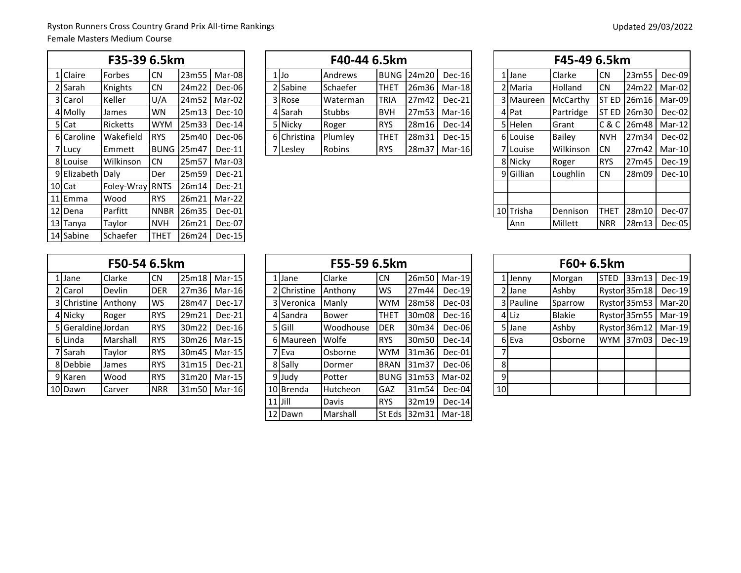|                  | F35-39 6.5km    |             |       |          |             | F40-44 6.5km    |            |            |          |  |                      | F45-49 6.5km   |            |             |               |
|------------------|-----------------|-------------|-------|----------|-------------|-----------------|------------|------------|----------|--|----------------------|----------------|------------|-------------|---------------|
| 1 Claire         | Forbes          | <b>CN</b>   | 23m55 | Mar-08   | $1$ Jo      | Andrews         |            | BUNG 24m20 | Dec-16   |  | 1 Jane               | lClarke        | <b>CN</b>  | 23m55       | Dec-09        |
| 2 Sarah          | Knights         | <b>CN</b>   | 24m22 | Dec-06   | 2 Sabine    | Schaefer        | THET       | 26m36      | Mar-18   |  | 2 Maria              | <b>Holland</b> | <b>CN</b>  | 24m22       | Mar-02        |
| 3 Carol          | Keller          | U/A         | 24m52 | Mar-02   | 3 Rose      | <b>Waterman</b> | TRIA       | 27m42      | $Dec-21$ |  | 3 Maureen            | McCarthy       |            | ST ED 26m16 | Mar-09        |
| 4 Molly          | James           | <b>WN</b>   | 25m13 | Dec-10   | 4 Sarah     | <b>Stubbs</b>   | <b>BVH</b> | 27m53      | Mar-16   |  | 4 Pat                | Partridge      |            | ST ED 26m30 | Dec-02        |
| 5 Cat            | Ricketts        | <b>WYM</b>  | 25m33 | Dec-14   | 5 Nicky     | Roger           | <b>RYS</b> | 28m16      | Dec-14   |  | 5 Helen              | Grant          |            | C & C 26m48 | Mar-12        |
| 6 Caroline       | Wakefield       | <b>IRYS</b> | 25m40 | Dec-06   | 6 Christina | Plumley         | THET       | 28m31      | $Dec-15$ |  | 6 Louise             | <b>Bailey</b>  | <b>NVH</b> | 27m34       | Dec-02        |
| 7 Lucy           | Emmett          | <b>BUNG</b> | 25m47 | Dec-11   | 7 Lesley    | <b>Robins</b>   | <b>RYS</b> | 28m37      | Mar-16   |  | 7 Louise             | Wilkinson      | <b>CN</b>  | 27m42       | Mar-10        |
| 8 Louise         | Wilkinson       | <b>CN</b>   | 25m57 | $Mar-03$ |             |                 |            |            |          |  | 8 Nicky              | Roger          | <b>RYS</b> | 27m45       | Dec-19        |
| 9 Elizabeth Daly |                 | Der         | 25m59 | Dec-21   |             |                 |            |            |          |  | 9 <sup>Gillian</sup> | Loughlin       | <b>CN</b>  | 28m09       | <b>Dec-10</b> |
| $10$ Cat         | Foley-Wray RNTS |             | 26m14 | Dec-21   |             |                 |            |            |          |  |                      |                |            |             |               |
| 11 Emma          | Wood            | <b>IRYS</b> | 26m21 | Mar-22   |             |                 |            |            |          |  |                      |                |            |             |               |
| 12 Dena          | Parfitt         | <b>NNBR</b> | 26m35 | $Dec-01$ |             |                 |            |            |          |  | 10 Trisha            | Dennison       | THET       | 28m10       | Dec-07        |
| 13 Tanya         | Taylor          | <b>NVH</b>  | 26m21 | Dec-07   |             |                 |            |            |          |  | Ann                  | Millett        | <b>NRR</b> | 28m13       | Dec-05        |
| 14 Sabine        | Schaefer        | <b>THET</b> | 26m24 | $Dec-15$ |             |                 |            |            |          |  |                      |                |            |             |               |

|            | F35-39 6.5km    |             |         |          |  |                  | F40-44 6.5km  |             |                   |                |  |           | F45-49 6.5km    |            |                              |        |
|------------|-----------------|-------------|---------|----------|--|------------------|---------------|-------------|-------------------|----------------|--|-----------|-----------------|------------|------------------------------|--------|
| 1 Claire   | Forbes          | <b>CN</b>   | 23m55 l | Mar-08   |  | l IJo            | Andrews       |             | <b>BUNG 24m20</b> | $Dec-16$       |  | 1 Jane    | <b>Clarke</b>   | <b>CN</b>  | 23m55                        | Dec-09 |
| 2 Sarah    | Knights         | <b>CN</b>   | 24m22   | Dec-06   |  | 2 Sabine         | Schaefer      | <b>THET</b> |                   | 26m36   Mar-18 |  | 2 Maria   | <b>Holland</b>  | <b>ICN</b> | 24m22   Mar-02               |        |
| 3 Carol    | Keller          | U/A         | 24m52   | Mar-02   |  | 3 Rose           | Waterman      | <b>TRIA</b> | 27m42             | Dec-21         |  | 3 Maureen | <b>McCarthy</b> |            | <b>IST ED 26m16   Mar-09</b> |        |
| 4 Molly    | <b>James</b>    | <b>WN</b>   | 25m13   | Dec-10   |  | 4 <b>I</b> Sarah | <b>Stubbs</b> | <b>BVH</b>  |                   | 27m53 Mar-16   |  | 4 Pat     | Partridge       |            | $ISTED$ 126m30               | Dec-02 |
| 5 Cat      | <b>Ricketts</b> | <b>WYM</b>  | 25m33   | $Dec-14$ |  | 5   Nickv        | Roger         | <b>RYS</b>  | 28m16             | Dec-14         |  | 5Helen    | Grant           |            | IC & C 26m48   Mar-12        |        |
| 6 Caroline | Wakefield       | <b>IRYS</b> | 25m40   | Dec-06   |  | 6 Christina      | Plumlev       | <b>THET</b> | 28m31             | $Dec-15$       |  | 6 Louise  | <b>Bailey</b>   | <b>NVH</b> | 27 <sub>m34</sub>            | Dec-02 |
| 7 Lucy     | Emmett          | BUNG 25m47  |         | $Dec-11$ |  | 'ILesley         | Robins        | <b>IRYS</b> | 28m37             | Mar-16         |  | 7 Louise  | Wilkinson       | <b>ICN</b> | 27m42   Mar-10               |        |
|            |                 |             |         |          |  |                  |               |             |                   |                |  |           |                 |            |                              |        |

|          |                  | F35-39 6.5km    |             |       |          |             | F40-44 6.5km  |             |       |              |  |                      | F45-49 6.5km   |             |                    |               |
|----------|------------------|-----------------|-------------|-------|----------|-------------|---------------|-------------|-------|--------------|--|----------------------|----------------|-------------|--------------------|---------------|
| 1 Claire |                  | Forbes          | <b>CN</b>   | 23m55 | Mar-08   | $1$ Jo      | Andrews       | <b>BUNG</b> | 24m20 | Dec-16       |  | 1lJane               | <b>Clarke</b>  | <b>CN</b>   | 23m55              | Dec-09        |
| 2 Sarah  |                  | Knights         | <b>CN</b>   | 24m22 | Dec-06   | 2 Sabine    | Schaefer      | <b>THET</b> |       | 26m36 Mar-18 |  | 2 Maria              | <b>Holland</b> | <b>CN</b>   | 24m22              | Mar-02        |
| 3 Carol  |                  | Keller          | U/A         | 24m52 | Mar-02   | 3 Rose      | Waterman      | TRIA        | 27m42 | $Dec-21$     |  | 3 Maureen            | McCarthy       |             | <b>ST ED 26m16</b> | Mar-09        |
| 4 Molly  |                  | James           | <b>WN</b>   | 25m13 | $Dec-10$ | 4 Sarah     | <b>Stubbs</b> | <b>BVH</b>  | 27m53 | Mar-16       |  | 4 Pat                | Partridge      |             | ST ED 26m30        | Dec-02        |
| 5 Cat    |                  | Ricketts        | <b>WYM</b>  | 25m33 | $Dec-14$ | 5 Nicky     | Roger         | <b>RYS</b>  | 28m16 | Dec-14       |  | 5 Helen              | Grant          |             | C & C 26m48        | $Mar-12$      |
|          | 6 Caroline       | Wakefield       | <b>RYS</b>  | 25m40 | Dec-06   | 6 Christina | Plumley       | <b>THET</b> | 28m31 | Dec-15       |  | 6 Louise             | <b>Bailey</b>  | <b>NVH</b>  | 27m34              | Dec-02        |
| 7 Lucy   |                  | Emmett          | <b>BUNG</b> | 25m47 | $Dec-11$ | 7 Lesley    | Robins        | <b>RYS</b>  |       | 28m37 Mar-16 |  | 7 Louise             | Wilkinson      | <b>CN</b>   | 27m42              | Mar-10        |
| 8 Louise |                  | Wilkinson       | <b>CN</b>   | 25m57 | Mar-03   |             |               |             |       |              |  | 8 Nicky              | Roger          | <b>RYS</b>  | 27m45              | <b>Dec-19</b> |
|          | 9 Elizabeth Daly |                 | Der         | 25m59 | $Dec-21$ |             |               |             |       |              |  | 9 <sup>Gillian</sup> | Loughlin       | <b>CN</b>   | 28m09              | $Dec-10$      |
| 0 Cat    |                  | Foley-Wray RNTS |             | 26m14 | $Dec-21$ |             |               |             |       |              |  |                      |                |             |                    |               |
| 1 Emma   |                  | Wood            | <b>RYS</b>  | 26m21 | Mar-22   |             |               |             |       |              |  |                      |                |             |                    |               |
| 2 Dena   |                  | Parfitt         | <b>NNBR</b> | 26m35 | Dec-01   |             |               |             |       |              |  | 10 Trisha            | Dennison       | <b>THET</b> | 28m10              | Dec-07        |
| 3 Tanya  |                  | Taylor          | <b>NVH</b>  | 26m21 | Dec-07   |             |               |             |       |              |  | Ann                  | Millett        | <b>NRR</b>  | 28m13              | Dec-05        |
|          |                  |                 |             |       |          |             |               |             |       |              |  |                      |                |             |                    |               |

|    |                    | F50-54 6.5km |            |       |               |
|----|--------------------|--------------|------------|-------|---------------|
| 1  | Jane               | Clarke       | <b>CN</b>  | 25m18 | $Mar-15$      |
|    | 2 Carol            | Devlin       | <b>DER</b> | 27m36 | $Mar-16$      |
|    | 3 Christine        | Anthony      | WS         | 28m47 | Dec-17        |
|    | 4 Nicky            | Roger        | <b>RYS</b> | 29m21 | Dec-21        |
|    | 5 Geraldine Jordan |              | <b>RYS</b> | 30m22 | <b>Dec-16</b> |
|    | 6 Linda            | Marshall     | <b>RYS</b> | 30m26 | $Mar-15$      |
|    | 7 Sarah            | Taylor       | <b>RYS</b> | 30m45 | $Mar-15$      |
| 8  | Debbie             | James        | <b>RYS</b> | 31m15 | Dec-21        |
| 9  | Karen              | Wood         | <b>RYS</b> | 31m20 | Mar-15        |
| 10 | Dawn               | Carver       | <b>NRR</b> | 31m50 | $Mar-16$      |

|                     | F50-54 6.5km |            |       |                |  |             | F55-59 6.5km |             |                   |                          |                |           | F60+ 6.5km    |             |                       |        |
|---------------------|--------------|------------|-------|----------------|--|-------------|--------------|-------------|-------------------|--------------------------|----------------|-----------|---------------|-------------|-----------------------|--------|
| 1 Jane              | Clarke       | <b>CN</b>  |       | 25m18   Mar-15 |  | 1 Jane      | Clarke       | <b>CN</b>   | 26m50             | Mar-19                   |                | $1$ Jenny | Morgan        | <b>STED</b> | 33m13                 | Dec-19 |
| 2 Carol             | Devlin       | <b>DER</b> | 27m36 | Mar-16         |  | 2 Christine | Anthony      | <b>WS</b>   | 27m44             | Dec-19                   |                | 2 Jane    | Ashby         |             | Ryston 35m18          | Dec-19 |
| 3 Christine Anthony |              | <b>WS</b>  | 28m47 | Dec-17         |  | 3 Veronica  | Manly        | <b>WYM</b>  | 28m58             | Dec-03                   |                | 3 Pauline | Sparrow       |             | Ryston 35m53          | Mar-20 |
| 4 Nicky             | Roger        | <b>RYS</b> | 29m21 | $Dec-21$       |  | 4 Sandra    | <b>Bower</b> | THET        | 30m08             | Dec-16                   |                | 4 Liz     | <b>Blakie</b> |             | Ryston 35m55   Mar-19 |        |
| 5 Geraldine Jordan  |              | <b>RYS</b> | 30m22 | Dec-16         |  | 5 Gill      | Woodhouse    | <b>DER</b>  | 30m34             | Dec-06                   |                | 5 Jane    | Ashby         |             | Ryston 36m12          | Mar-19 |
| 6 Linda             | Marshall     | <b>RYS</b> | 30m26 | Mar-15         |  | 6 Maureen   | Wolfe        | <b>RYS</b>  | 30m50             | Dec-14                   |                | 6 Eva     | Osborne       |             | WYM 37m03             | Dec-19 |
| 7 Sarah             | Taylor       | <b>RYS</b> | 30m45 | Mar-15         |  | 7 Eva       | Osborne      | <b>WYM</b>  | 31 <sub>m36</sub> | Dec-01                   |                |           |               |             |                       |        |
| 8 Debbie            | James        | <b>RYS</b> | 31m15 | $Dec-21$       |  | 8 Sally     | Dormer       | <b>BRAN</b> | 31m37             | Dec-06                   | 8 <sup>l</sup> |           |               |             |                       |        |
| 9 Karen             | Wood         | <b>RYS</b> | 31m20 | Mar-15         |  | 9 Judy      | Potter       |             |                   | BUNG  31m53   Mar-02     | $\overline{9}$ |           |               |             |                       |        |
| 10 Dawn             | Carver       | <b>NRR</b> |       | 31m50   Mar-16 |  | 10 Brenda   | Hutcheon     | <b>GAZ</b>  | 31m54             | Dec-04                   | 10             |           |               |             |                       |        |
|                     |              |            |       |                |  | $11$ Jill   | Davis        | <b>RYS</b>  | 32m19             | Dec-14                   |                |           |               |             |                       |        |
|                     |              |            |       |                |  | 12 Dawn     | Marshall     |             |                   | lSt Eds 132m31   Mar-181 |                |           |               |             |                       |        |

|                |           | F60+ 6.5km    |             |              |          |
|----------------|-----------|---------------|-------------|--------------|----------|
| 1              | Jenny     | Morgan        | <b>STED</b> | 33m13        | Dec-19   |
| 2              | Jane      | Ashby         |             | Ryston 35m18 | Dec-19   |
|                | 3 Pauline | Sparrow       |             | Ryston 35m53 | Mar-20   |
| $\overline{4}$ | Liz       | <b>Blakie</b> |             | Ryston 35m55 | Mar-19   |
| 5.             | Jane      | Ashby         |             | Ryston 36m12 | $Mar-19$ |
| 6              | Eva       | Osborne       | <b>WYM</b>  | 37m03        | Dec-19   |
| 7              |           |               |             |              |          |
| 8              |           |               |             |              |          |
| 9              |           |               |             |              |          |
| 10             |           |               |             |              |          |